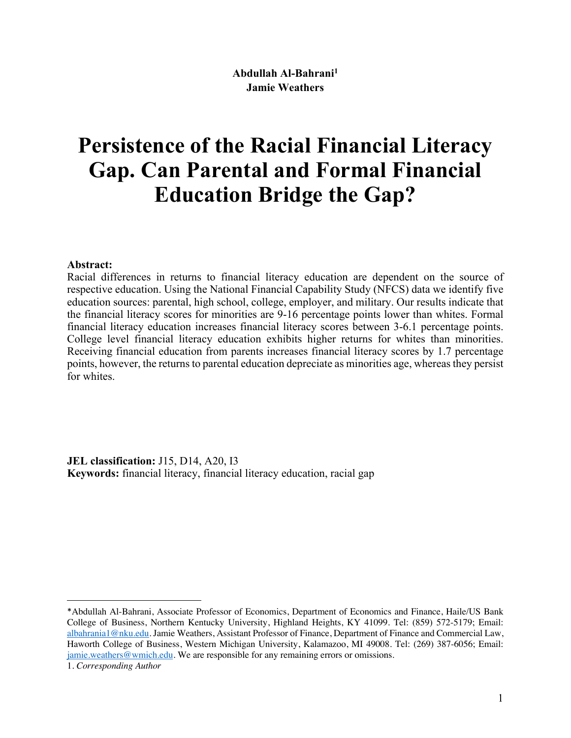# **Persistence of the Racial Financial Literacy Gap. Can Parental and Formal Financial Education Bridge the Gap?**

#### **Abstract:**

Racial differences in returns to financial literacy education are dependent on the source of respective education. Using the National Financial Capability Study (NFCS) data we identify five education sources: parental, high school, college, employer, and military. Our results indicate that the financial literacy scores for minorities are 9-16 percentage points lower than whites. Formal financial literacy education increases financial literacy scores between 3-6.1 percentage points. College level financial literacy education exhibits higher returns for whites than minorities. Receiving financial education from parents increases financial literacy scores by 1.7 percentage points, however, the returns to parental education depreciate as minorities age, whereas they persist for whites.

**JEL classification:** J15, D14, A20, I3 **Keywords:** financial literacy, financial literacy education, racial gap

 $\overline{a}$ 

<sup>\*</sup>Abdullah Al-Bahrani, Associate Professor of Economics, Department of Economics and Finance, Haile/US Bank College of Business, Northern Kentucky University, Highland Heights, KY 41099. Tel: (859) 572-5179; Email: albahrania1@nku.edu. Jamie Weathers, Assistant Professor of Finance, Department of Finance and Commercial Law, Haworth College of Business, Western Michigan University, Kalamazoo, MI 49008. Tel: (269) 387-6056; Email: jamie.weathers@wmich.edu. We are responsible for any remaining errors or omissions.

<sup>1.</sup> *Corresponding Author*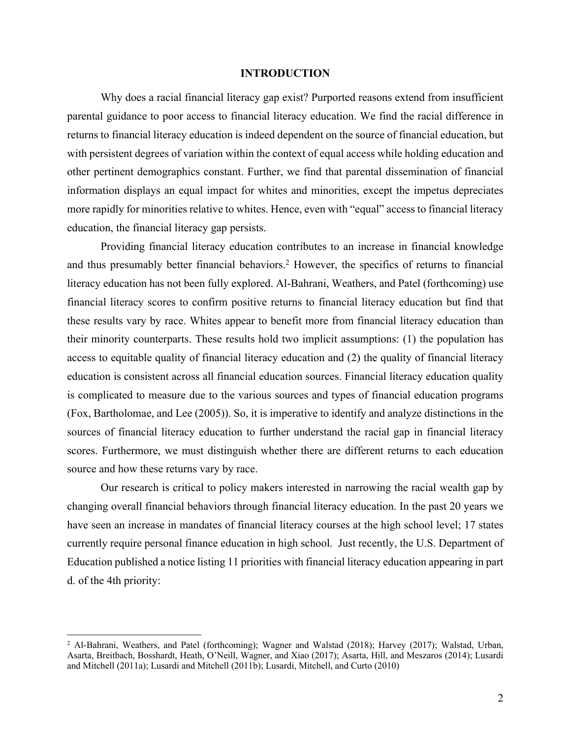#### **INTRODUCTION**

Why does a racial financial literacy gap exist? Purported reasons extend from insufficient parental guidance to poor access to financial literacy education. We find the racial difference in returns to financial literacy education is indeed dependent on the source of financial education, but with persistent degrees of variation within the context of equal access while holding education and other pertinent demographics constant. Further, we find that parental dissemination of financial information displays an equal impact for whites and minorities, except the impetus depreciates more rapidly for minorities relative to whites. Hence, even with "equal" access to financial literacy education, the financial literacy gap persists.

Providing financial literacy education contributes to an increase in financial knowledge and thus presumably better financial behaviors.2 However, the specifics of returns to financial literacy education has not been fully explored. Al-Bahrani, Weathers, and Patel (forthcoming) use financial literacy scores to confirm positive returns to financial literacy education but find that these results vary by race. Whites appear to benefit more from financial literacy education than their minority counterparts. These results hold two implicit assumptions: (1) the population has access to equitable quality of financial literacy education and (2) the quality of financial literacy education is consistent across all financial education sources. Financial literacy education quality is complicated to measure due to the various sources and types of financial education programs (Fox, Bartholomae, and Lee (2005)). So, it is imperative to identify and analyze distinctions in the sources of financial literacy education to further understand the racial gap in financial literacy scores. Furthermore, we must distinguish whether there are different returns to each education source and how these returns vary by race.

Our research is critical to policy makers interested in narrowing the racial wealth gap by changing overall financial behaviors through financial literacy education. In the past 20 years we have seen an increase in mandates of financial literacy courses at the high school level; 17 states currently require personal finance education in high school. Just recently, the U.S. Department of Education published a notice listing 11 priorities with financial literacy education appearing in part d. of the 4th priority:

 <sup>2</sup> Al-Bahrani, Weathers, and Patel (forthcoming); Wagner and Walstad (2018); Harvey (2017); Walstad, Urban, Asarta, Breitbach, Bosshardt, Heath, O'Neill, Wagner, and Xiao (2017); Asarta, Hill, and Meszaros (2014); Lusardi and Mitchell (2011a); Lusardi and Mitchell (2011b); Lusardi, Mitchell, and Curto (2010)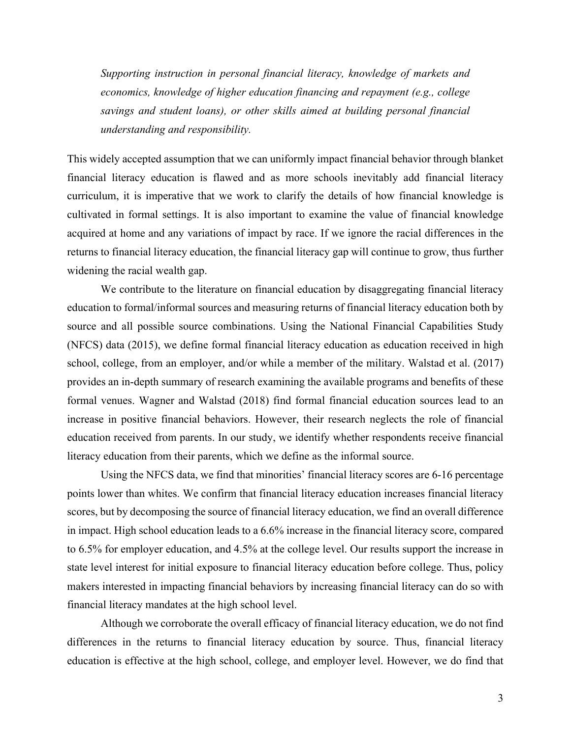*Supporting instruction in personal financial literacy, knowledge of markets and economics, knowledge of higher education financing and repayment (e.g., college savings and student loans), or other skills aimed at building personal financial understanding and responsibility.*

This widely accepted assumption that we can uniformly impact financial behavior through blanket financial literacy education is flawed and as more schools inevitably add financial literacy curriculum, it is imperative that we work to clarify the details of how financial knowledge is cultivated in formal settings. It is also important to examine the value of financial knowledge acquired at home and any variations of impact by race. If we ignore the racial differences in the returns to financial literacy education, the financial literacy gap will continue to grow, thus further widening the racial wealth gap.

We contribute to the literature on financial education by disaggregating financial literacy education to formal/informal sources and measuring returns of financial literacy education both by source and all possible source combinations. Using the National Financial Capabilities Study (NFCS) data (2015), we define formal financial literacy education as education received in high school, college, from an employer, and/or while a member of the military. Walstad et al. (2017) provides an in-depth summary of research examining the available programs and benefits of these formal venues. Wagner and Walstad (2018) find formal financial education sources lead to an increase in positive financial behaviors. However, their research neglects the role of financial education received from parents. In our study, we identify whether respondents receive financial literacy education from their parents, which we define as the informal source.

Using the NFCS data, we find that minorities' financial literacy scores are 6-16 percentage points lower than whites. We confirm that financial literacy education increases financial literacy scores, but by decomposing the source of financial literacy education, we find an overall difference in impact. High school education leads to a 6.6% increase in the financial literacy score, compared to 6.5% for employer education, and 4.5% at the college level. Our results support the increase in state level interest for initial exposure to financial literacy education before college. Thus, policy makers interested in impacting financial behaviors by increasing financial literacy can do so with financial literacy mandates at the high school level.

Although we corroborate the overall efficacy of financial literacy education, we do not find differences in the returns to financial literacy education by source. Thus, financial literacy education is effective at the high school, college, and employer level. However, we do find that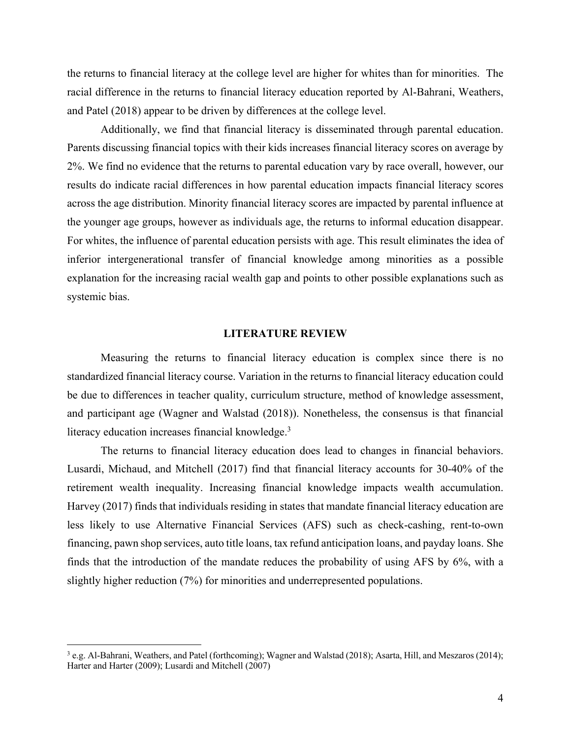the returns to financial literacy at the college level are higher for whites than for minorities. The racial difference in the returns to financial literacy education reported by Al-Bahrani, Weathers, and Patel (2018) appear to be driven by differences at the college level.

Additionally, we find that financial literacy is disseminated through parental education. Parents discussing financial topics with their kids increases financial literacy scores on average by 2%. We find no evidence that the returns to parental education vary by race overall, however, our results do indicate racial differences in how parental education impacts financial literacy scores across the age distribution. Minority financial literacy scores are impacted by parental influence at the younger age groups, however as individuals age, the returns to informal education disappear. For whites, the influence of parental education persists with age. This result eliminates the idea of inferior intergenerational transfer of financial knowledge among minorities as a possible explanation for the increasing racial wealth gap and points to other possible explanations such as systemic bias.

#### **LITERATURE REVIEW**

Measuring the returns to financial literacy education is complex since there is no standardized financial literacy course. Variation in the returns to financial literacy education could be due to differences in teacher quality, curriculum structure, method of knowledge assessment, and participant age (Wagner and Walstad (2018)). Nonetheless, the consensus is that financial literacy education increases financial knowledge.<sup>3</sup>

The returns to financial literacy education does lead to changes in financial behaviors. Lusardi, Michaud, and Mitchell (2017) find that financial literacy accounts for 30-40% of the retirement wealth inequality. Increasing financial knowledge impacts wealth accumulation. Harvey (2017) finds that individuals residing in states that mandate financial literacy education are less likely to use Alternative Financial Services (AFS) such as check-cashing, rent-to-own financing, pawn shop services, auto title loans, tax refund anticipation loans, and payday loans. She finds that the introduction of the mandate reduces the probability of using AFS by 6%, with a slightly higher reduction (7%) for minorities and underrepresented populations.

 <sup>3</sup> e.g. Al-Bahrani, Weathers, and Patel (forthcoming); Wagner and Walstad (2018); Asarta, Hill, and Meszaros (2014); Harter and Harter (2009); Lusardi and Mitchell (2007)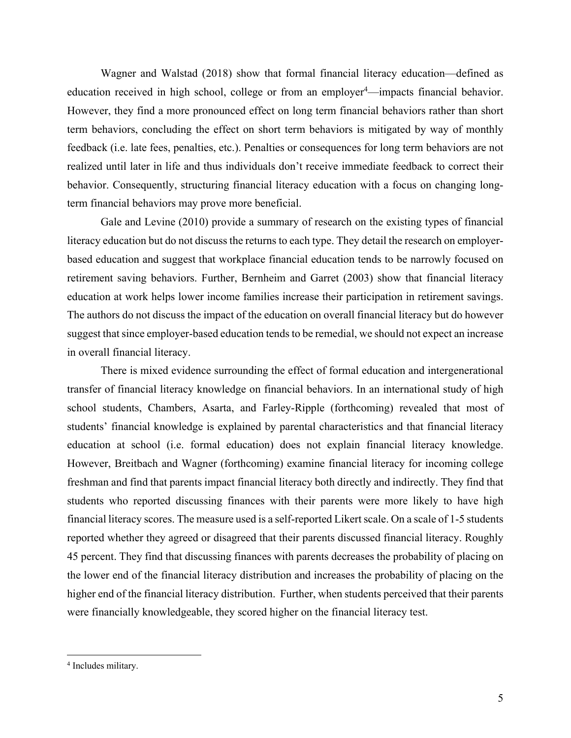Wagner and Walstad (2018) show that formal financial literacy education—defined as education received in high school, college or from an employer<sup>4</sup>—impacts financial behavior. However, they find a more pronounced effect on long term financial behaviors rather than short term behaviors, concluding the effect on short term behaviors is mitigated by way of monthly feedback (i.e. late fees, penalties, etc.). Penalties or consequences for long term behaviors are not realized until later in life and thus individuals don't receive immediate feedback to correct their behavior. Consequently, structuring financial literacy education with a focus on changing longterm financial behaviors may prove more beneficial.

Gale and Levine (2010) provide a summary of research on the existing types of financial literacy education but do not discuss the returns to each type. They detail the research on employerbased education and suggest that workplace financial education tends to be narrowly focused on retirement saving behaviors. Further, Bernheim and Garret (2003) show that financial literacy education at work helps lower income families increase their participation in retirement savings. The authors do not discuss the impact of the education on overall financial literacy but do however suggest that since employer-based education tends to be remedial, we should not expect an increase in overall financial literacy.

There is mixed evidence surrounding the effect of formal education and intergenerational transfer of financial literacy knowledge on financial behaviors. In an international study of high school students, Chambers, Asarta, and Farley-Ripple (forthcoming) revealed that most of students' financial knowledge is explained by parental characteristics and that financial literacy education at school (i.e. formal education) does not explain financial literacy knowledge. However, Breitbach and Wagner (forthcoming) examine financial literacy for incoming college freshman and find that parents impact financial literacy both directly and indirectly. They find that students who reported discussing finances with their parents were more likely to have high financial literacy scores. The measure used is a self-reported Likert scale. On a scale of 1-5 students reported whether they agreed or disagreed that their parents discussed financial literacy. Roughly 45 percent. They find that discussing finances with parents decreases the probability of placing on the lower end of the financial literacy distribution and increases the probability of placing on the higher end of the financial literacy distribution. Further, when students perceived that their parents were financially knowledgeable, they scored higher on the financial literacy test.

 <sup>4</sup> Includes military.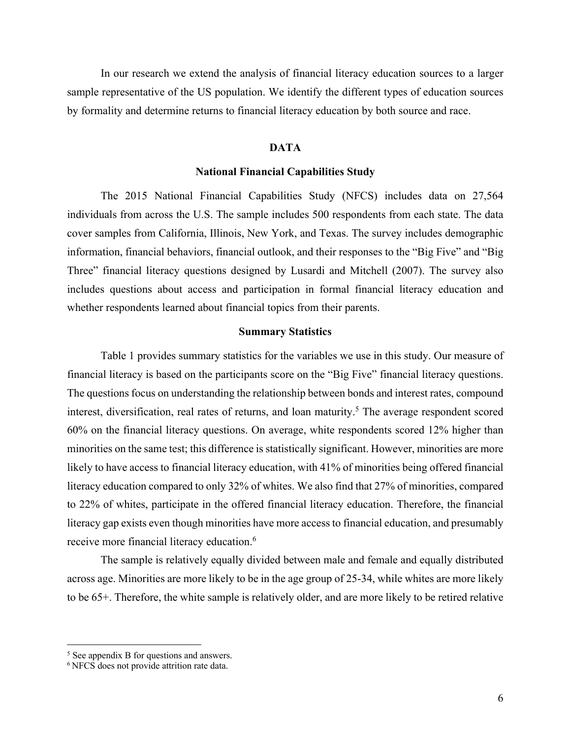In our research we extend the analysis of financial literacy education sources to a larger sample representative of the US population. We identify the different types of education sources by formality and determine returns to financial literacy education by both source and race.

#### **DATA**

#### **National Financial Capabilities Study**

The 2015 National Financial Capabilities Study (NFCS) includes data on 27,564 individuals from across the U.S. The sample includes 500 respondents from each state. The data cover samples from California, Illinois, New York, and Texas. The survey includes demographic information, financial behaviors, financial outlook, and their responses to the "Big Five" and "Big Three" financial literacy questions designed by Lusardi and Mitchell (2007). The survey also includes questions about access and participation in formal financial literacy education and whether respondents learned about financial topics from their parents.

#### **Summary Statistics**

Table 1 provides summary statistics for the variables we use in this study. Our measure of financial literacy is based on the participants score on the "Big Five" financial literacy questions. The questions focus on understanding the relationship between bonds and interest rates, compound interest, diversification, real rates of returns, and loan maturity. <sup>5</sup> The average respondent scored 60% on the financial literacy questions. On average, white respondents scored 12% higher than minorities on the same test; this difference is statistically significant. However, minorities are more likely to have access to financial literacy education, with 41% of minorities being offered financial literacy education compared to only 32% of whites. We also find that 27% of minorities, compared to 22% of whites, participate in the offered financial literacy education. Therefore, the financial literacy gap exists even though minorities have more access to financial education, and presumably receive more financial literacy education.<sup>6</sup>

The sample is relatively equally divided between male and female and equally distributed across age. Minorities are more likely to be in the age group of 25-34, while whites are more likely to be 65+. Therefore, the white sample is relatively older, and are more likely to be retired relative

 <sup>5</sup> See appendix B for questions and answers.

<sup>6</sup> NFCS does not provide attrition rate data.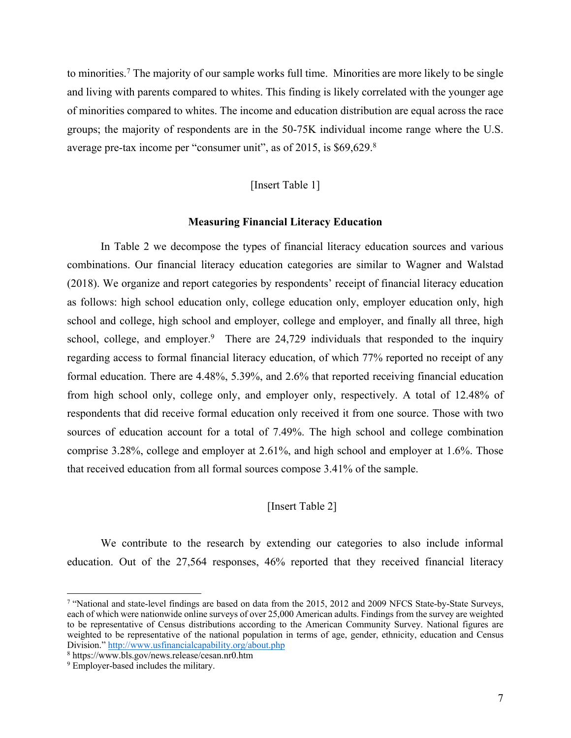to minorities.7 The majority of our sample works full time. Minorities are more likely to be single and living with parents compared to whites. This finding is likely correlated with the younger age of minorities compared to whites. The income and education distribution are equal across the race groups; the majority of respondents are in the 50-75K individual income range where the U.S. average pre-tax income per "consumer unit", as of 2015, is \$69,629.8

#### [Insert Table 1]

#### **Measuring Financial Literacy Education**

In Table 2 we decompose the types of financial literacy education sources and various combinations. Our financial literacy education categories are similar to Wagner and Walstad (2018). We organize and report categories by respondents' receipt of financial literacy education as follows: high school education only, college education only, employer education only, high school and college, high school and employer, college and employer, and finally all three, high school, college, and employer.<sup>9</sup> There are  $24,729$  individuals that responded to the inquiry regarding access to formal financial literacy education, of which 77% reported no receipt of any formal education. There are 4.48%, 5.39%, and 2.6% that reported receiving financial education from high school only, college only, and employer only, respectively. A total of 12.48% of respondents that did receive formal education only received it from one source. Those with two sources of education account for a total of 7.49%. The high school and college combination comprise 3.28%, college and employer at 2.61%, and high school and employer at 1.6%. Those that received education from all formal sources compose 3.41% of the sample.

#### [Insert Table 2]

We contribute to the research by extending our categories to also include informal education. Out of the 27,564 responses, 46% reported that they received financial literacy

 <sup>7</sup> "National and state-level findings are based on data from the 2015, 2012 and 2009 NFCS State-by-State Surveys, each of which were nationwide online surveys of over 25,000 American adults. Findings from the survey are weighted to be representative of Census distributions according to the American Community Survey. National figures are weighted to be representative of the national population in terms of age, gender, ethnicity, education and Census Division." http://www.usfinancialcapability.org/about.php

<sup>8</sup> https://www.bls.gov/news.release/cesan.nr0.htm

<sup>&</sup>lt;sup>9</sup> Employer-based includes the military.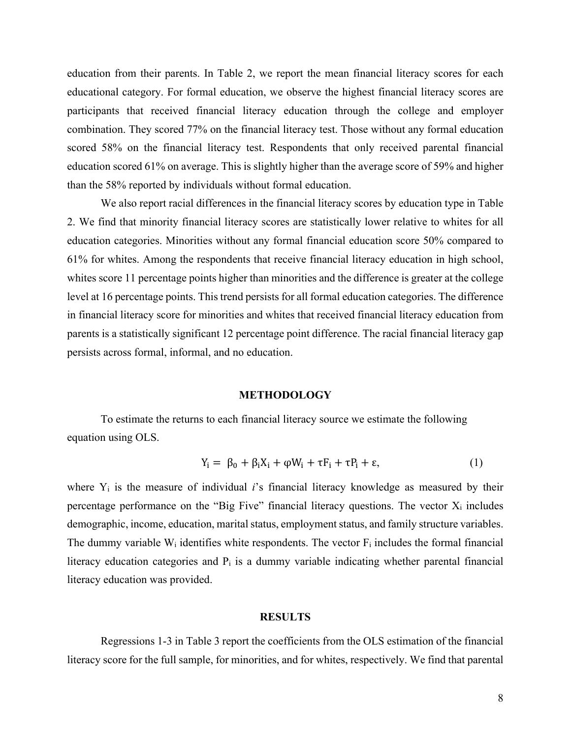education from their parents. In Table 2, we report the mean financial literacy scores for each educational category. For formal education, we observe the highest financial literacy scores are participants that received financial literacy education through the college and employer combination. They scored 77% on the financial literacy test. Those without any formal education scored 58% on the financial literacy test. Respondents that only received parental financial education scored 61% on average. This is slightly higher than the average score of 59% and higher than the 58% reported by individuals without formal education.

We also report racial differences in the financial literacy scores by education type in Table 2. We find that minority financial literacy scores are statistically lower relative to whites for all education categories. Minorities without any formal financial education score 50% compared to 61% for whites. Among the respondents that receive financial literacy education in high school, whites score 11 percentage points higher than minorities and the difference is greater at the college level at 16 percentage points. This trend persists for all formal education categories. The difference in financial literacy score for minorities and whites that received financial literacy education from parents is a statistically significant 12 percentage point difference. The racial financial literacy gap persists across formal, informal, and no education.

#### **METHODOLOGY**

To estimate the returns to each financial literacy source we estimate the following equation using OLS.

$$
Y_i = \beta_0 + \beta_i X_i + \varphi W_i + \tau F_i + \tau P_i + \varepsilon,\tag{1}
$$

where Y<sub>i</sub> is the measure of individual *i*'s financial literacy knowledge as measured by their percentage performance on the "Big Five" financial literacy questions. The vector  $X_i$  includes demographic, income, education, marital status, employment status, and family structure variables. The dummy variable  $W_i$  identifies white respondents. The vector  $F_i$  includes the formal financial literacy education categories and  $P_i$  is a dummy variable indicating whether parental financial literacy education was provided.

#### **RESULTS**

Regressions 1-3 in Table 3 report the coefficients from the OLS estimation of the financial literacy score for the full sample, for minorities, and for whites, respectively. We find that parental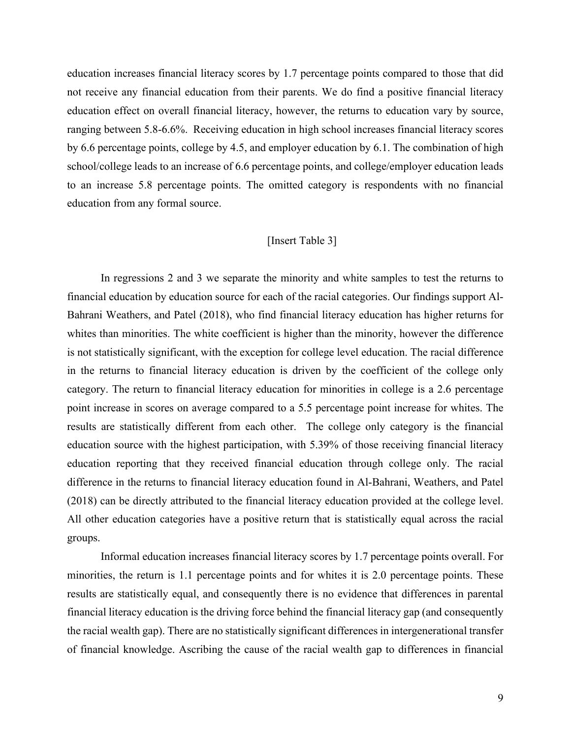education increases financial literacy scores by 1.7 percentage points compared to those that did not receive any financial education from their parents. We do find a positive financial literacy education effect on overall financial literacy, however, the returns to education vary by source, ranging between 5.8-6.6%. Receiving education in high school increases financial literacy scores by 6.6 percentage points, college by 4.5, and employer education by 6.1. The combination of high school/college leads to an increase of 6.6 percentage points, and college/employer education leads to an increase 5.8 percentage points. The omitted category is respondents with no financial education from any formal source.

#### [Insert Table 3]

In regressions 2 and 3 we separate the minority and white samples to test the returns to financial education by education source for each of the racial categories. Our findings support Al-Bahrani Weathers, and Patel (2018), who find financial literacy education has higher returns for whites than minorities. The white coefficient is higher than the minority, however the difference is not statistically significant, with the exception for college level education. The racial difference in the returns to financial literacy education is driven by the coefficient of the college only category. The return to financial literacy education for minorities in college is a 2.6 percentage point increase in scores on average compared to a 5.5 percentage point increase for whites. The results are statistically different from each other. The college only category is the financial education source with the highest participation, with 5.39% of those receiving financial literacy education reporting that they received financial education through college only. The racial difference in the returns to financial literacy education found in Al-Bahrani, Weathers, and Patel (2018) can be directly attributed to the financial literacy education provided at the college level. All other education categories have a positive return that is statistically equal across the racial groups.

Informal education increases financial literacy scores by 1.7 percentage points overall. For minorities, the return is 1.1 percentage points and for whites it is 2.0 percentage points. These results are statistically equal, and consequently there is no evidence that differences in parental financial literacy education is the driving force behind the financial literacy gap (and consequently the racial wealth gap). There are no statistically significant differences in intergenerational transfer of financial knowledge. Ascribing the cause of the racial wealth gap to differences in financial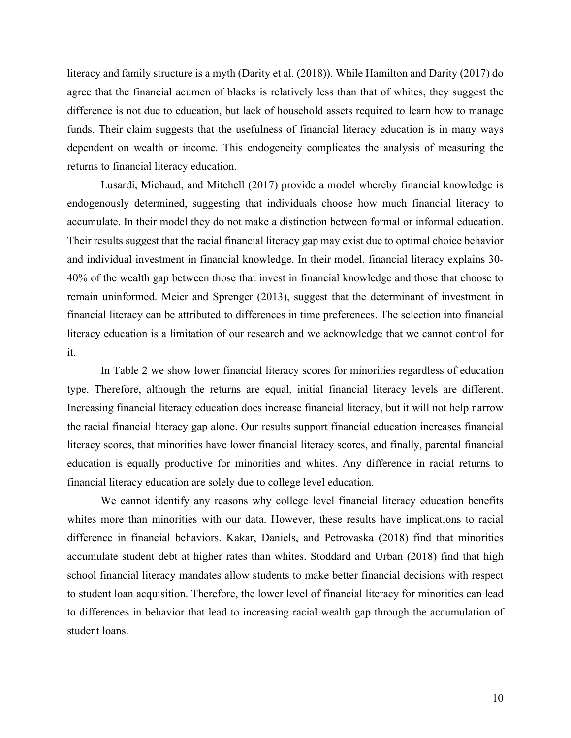literacy and family structure is a myth (Darity et al. (2018)). While Hamilton and Darity (2017) do agree that the financial acumen of blacks is relatively less than that of whites, they suggest the difference is not due to education, but lack of household assets required to learn how to manage funds. Their claim suggests that the usefulness of financial literacy education is in many ways dependent on wealth or income. This endogeneity complicates the analysis of measuring the returns to financial literacy education.

Lusardi, Michaud, and Mitchell (2017) provide a model whereby financial knowledge is endogenously determined, suggesting that individuals choose how much financial literacy to accumulate. In their model they do not make a distinction between formal or informal education. Their results suggest that the racial financial literacy gap may exist due to optimal choice behavior and individual investment in financial knowledge. In their model, financial literacy explains 30- 40% of the wealth gap between those that invest in financial knowledge and those that choose to remain uninformed. Meier and Sprenger (2013), suggest that the determinant of investment in financial literacy can be attributed to differences in time preferences. The selection into financial literacy education is a limitation of our research and we acknowledge that we cannot control for it.

In Table 2 we show lower financial literacy scores for minorities regardless of education type. Therefore, although the returns are equal, initial financial literacy levels are different. Increasing financial literacy education does increase financial literacy, but it will not help narrow the racial financial literacy gap alone. Our results support financial education increases financial literacy scores, that minorities have lower financial literacy scores, and finally, parental financial education is equally productive for minorities and whites. Any difference in racial returns to financial literacy education are solely due to college level education.

We cannot identify any reasons why college level financial literacy education benefits whites more than minorities with our data. However, these results have implications to racial difference in financial behaviors. Kakar, Daniels, and Petrovaska (2018) find that minorities accumulate student debt at higher rates than whites. Stoddard and Urban (2018) find that high school financial literacy mandates allow students to make better financial decisions with respect to student loan acquisition. Therefore, the lower level of financial literacy for minorities can lead to differences in behavior that lead to increasing racial wealth gap through the accumulation of student loans.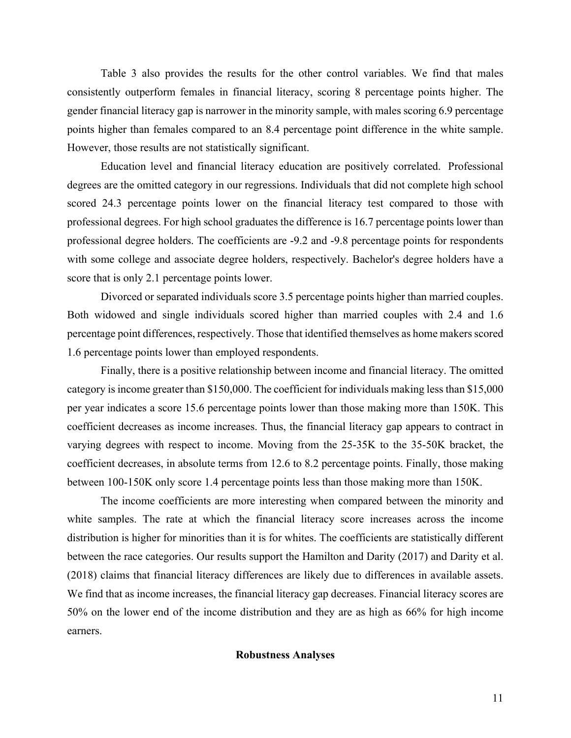Table 3 also provides the results for the other control variables. We find that males consistently outperform females in financial literacy, scoring 8 percentage points higher. The gender financial literacy gap is narrower in the minority sample, with males scoring 6.9 percentage points higher than females compared to an 8.4 percentage point difference in the white sample. However, those results are not statistically significant.

Education level and financial literacy education are positively correlated. Professional degrees are the omitted category in our regressions. Individuals that did not complete high school scored 24.3 percentage points lower on the financial literacy test compared to those with professional degrees. For high school graduates the difference is 16.7 percentage points lower than professional degree holders. The coefficients are -9.2 and -9.8 percentage points for respondents with some college and associate degree holders, respectively. Bachelor's degree holders have a score that is only 2.1 percentage points lower.

Divorced or separated individuals score 3.5 percentage points higher than married couples. Both widowed and single individuals scored higher than married couples with 2.4 and 1.6 percentage point differences, respectively. Those that identified themselves as home makers scored 1.6 percentage points lower than employed respondents.

Finally, there is a positive relationship between income and financial literacy. The omitted category is income greater than \$150,000. The coefficient for individuals making less than \$15,000 per year indicates a score 15.6 percentage points lower than those making more than 150K. This coefficient decreases as income increases. Thus, the financial literacy gap appears to contract in varying degrees with respect to income. Moving from the 25-35K to the 35-50K bracket, the coefficient decreases, in absolute terms from 12.6 to 8.2 percentage points. Finally, those making between 100-150K only score 1.4 percentage points less than those making more than 150K.

The income coefficients are more interesting when compared between the minority and white samples. The rate at which the financial literacy score increases across the income distribution is higher for minorities than it is for whites. The coefficients are statistically different between the race categories. Our results support the Hamilton and Darity (2017) and Darity et al. (2018) claims that financial literacy differences are likely due to differences in available assets. We find that as income increases, the financial literacy gap decreases. Financial literacy scores are 50% on the lower end of the income distribution and they are as high as 66% for high income earners.

#### **Robustness Analyses**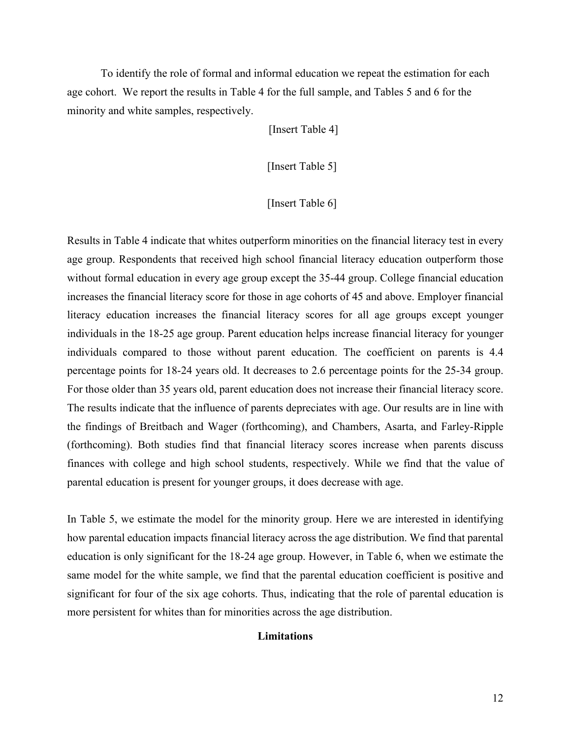To identify the role of formal and informal education we repeat the estimation for each age cohort. We report the results in Table 4 for the full sample, and Tables 5 and 6 for the minority and white samples, respectively.

[Insert Table 4]

[Insert Table 5]

#### [Insert Table 6]

Results in Table 4 indicate that whites outperform minorities on the financial literacy test in every age group. Respondents that received high school financial literacy education outperform those without formal education in every age group except the 35-44 group. College financial education increases the financial literacy score for those in age cohorts of 45 and above. Employer financial literacy education increases the financial literacy scores for all age groups except younger individuals in the 18-25 age group. Parent education helps increase financial literacy for younger individuals compared to those without parent education. The coefficient on parents is 4.4 percentage points for 18-24 years old. It decreases to 2.6 percentage points for the 25-34 group. For those older than 35 years old, parent education does not increase their financial literacy score. The results indicate that the influence of parents depreciates with age. Our results are in line with the findings of Breitbach and Wager (forthcoming), and Chambers, Asarta, and Farley-Ripple (forthcoming). Both studies find that financial literacy scores increase when parents discuss finances with college and high school students, respectively. While we find that the value of parental education is present for younger groups, it does decrease with age.

In Table 5, we estimate the model for the minority group. Here we are interested in identifying how parental education impacts financial literacy across the age distribution. We find that parental education is only significant for the 18-24 age group. However, in Table 6, when we estimate the same model for the white sample, we find that the parental education coefficient is positive and significant for four of the six age cohorts. Thus, indicating that the role of parental education is more persistent for whites than for minorities across the age distribution.

#### **Limitations**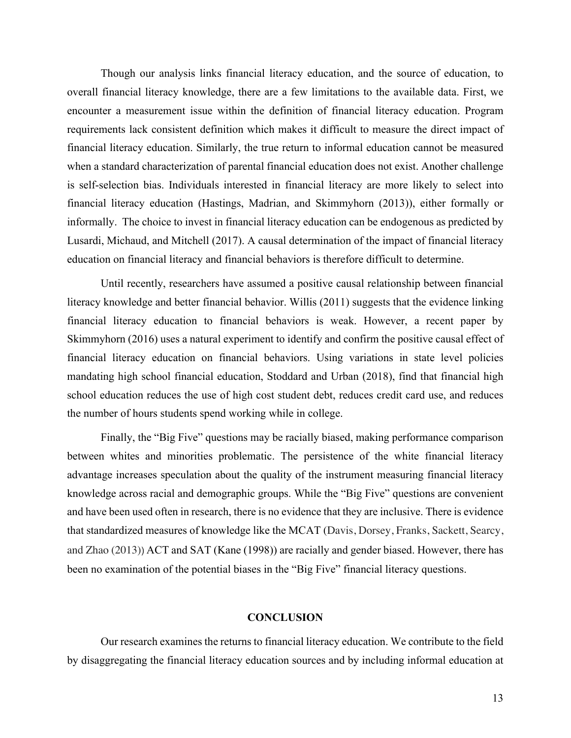Though our analysis links financial literacy education, and the source of education, to overall financial literacy knowledge, there are a few limitations to the available data. First, we encounter a measurement issue within the definition of financial literacy education. Program requirements lack consistent definition which makes it difficult to measure the direct impact of financial literacy education. Similarly, the true return to informal education cannot be measured when a standard characterization of parental financial education does not exist. Another challenge is self-selection bias. Individuals interested in financial literacy are more likely to select into financial literacy education (Hastings, Madrian, and Skimmyhorn (2013)), either formally or informally. The choice to invest in financial literacy education can be endogenous as predicted by Lusardi, Michaud, and Mitchell (2017). A causal determination of the impact of financial literacy education on financial literacy and financial behaviors is therefore difficult to determine.

Until recently, researchers have assumed a positive causal relationship between financial literacy knowledge and better financial behavior. Willis (2011) suggests that the evidence linking financial literacy education to financial behaviors is weak. However, a recent paper by Skimmyhorn (2016) uses a natural experiment to identify and confirm the positive causal effect of financial literacy education on financial behaviors. Using variations in state level policies mandating high school financial education, Stoddard and Urban (2018), find that financial high school education reduces the use of high cost student debt, reduces credit card use, and reduces the number of hours students spend working while in college.

Finally, the "Big Five" questions may be racially biased, making performance comparison between whites and minorities problematic. The persistence of the white financial literacy advantage increases speculation about the quality of the instrument measuring financial literacy knowledge across racial and demographic groups. While the "Big Five" questions are convenient and have been used often in research, there is no evidence that they are inclusive. There is evidence that standardized measures of knowledge like the MCAT (Davis, Dorsey, Franks, Sackett, Searcy, and Zhao (2013)) ACT and SAT (Kane (1998)) are racially and gender biased. However, there has been no examination of the potential biases in the "Big Five" financial literacy questions.

#### **CONCLUSION**

Our research examines the returns to financial literacy education. We contribute to the field by disaggregating the financial literacy education sources and by including informal education at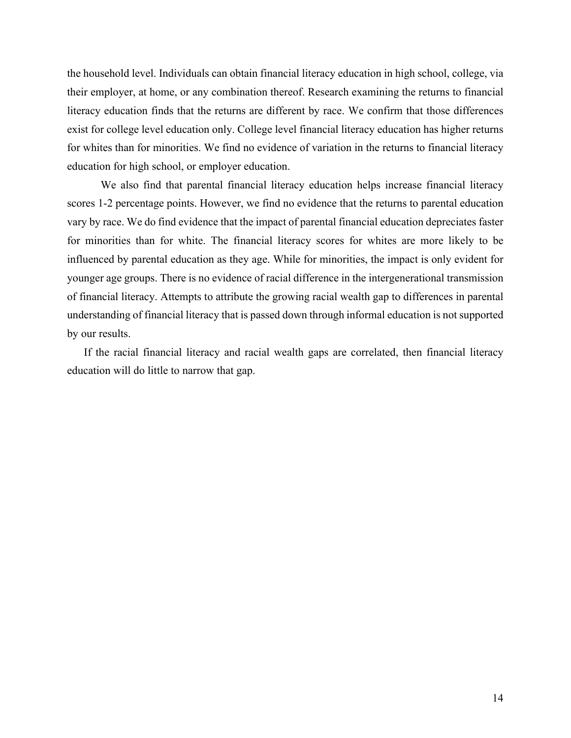the household level. Individuals can obtain financial literacy education in high school, college, via their employer, at home, or any combination thereof. Research examining the returns to financial literacy education finds that the returns are different by race. We confirm that those differences exist for college level education only. College level financial literacy education has higher returns for whites than for minorities. We find no evidence of variation in the returns to financial literacy education for high school, or employer education.

We also find that parental financial literacy education helps increase financial literacy scores 1-2 percentage points. However, we find no evidence that the returns to parental education vary by race. We do find evidence that the impact of parental financial education depreciates faster for minorities than for white. The financial literacy scores for whites are more likely to be influenced by parental education as they age. While for minorities, the impact is only evident for younger age groups. There is no evidence of racial difference in the intergenerational transmission of financial literacy. Attempts to attribute the growing racial wealth gap to differences in parental understanding of financial literacy that is passed down through informal education is not supported by our results.

If the racial financial literacy and racial wealth gaps are correlated, then financial literacy education will do little to narrow that gap.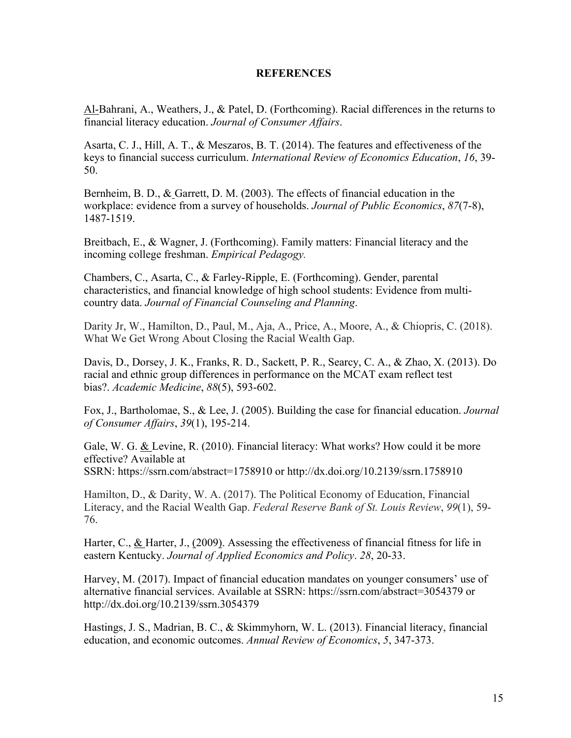#### **REFERENCES**

Al-Bahrani, A., Weathers, J., & Patel, D. (Forthcoming). Racial differences in the returns to financial literacy education. *Journal of Consumer Affairs*.

Asarta, C. J., Hill, A. T., & Meszaros, B. T. (2014). The features and effectiveness of the keys to financial success curriculum. *International Review of Economics Education*, *16*, 39- 50.

Bernheim, B. D., & Garrett, D. M. (2003). The effects of financial education in the workplace: evidence from a survey of households. *Journal of Public Economics*, *87*(7-8), 1487-1519.

Breitbach, E., & Wagner, J. (Forthcoming). Family matters: Financial literacy and the incoming college freshman. *Empirical Pedagogy.*

Chambers, C., Asarta, C., & Farley-Ripple, E. (Forthcoming). Gender, parental characteristics, and financial knowledge of high school students: Evidence from multicountry data. *Journal of Financial Counseling and Planning*.

Darity Jr, W., Hamilton, D., Paul, M., Aja, A., Price, A., Moore, A., & Chiopris, C. (2018). What We Get Wrong About Closing the Racial Wealth Gap.

Davis, D., Dorsey, J. K., Franks, R. D., Sackett, P. R., Searcy, C. A., & Zhao, X. (2013). Do racial and ethnic group differences in performance on the MCAT exam reflect test bias?. *Academic Medicine*, *88*(5), 593-602.

Fox, J., Bartholomae, S., & Lee, J. (2005). Building the case for financial education. *Journal of Consumer Affairs*, *39*(1), 195-214.

Gale, W. G. & Levine, R. (2010). Financial literacy: What works? How could it be more effective? Available at SSRN: https://ssrn.com/abstract=1758910 or http://dx.doi.org/10.2139/ssrn.1758910

Hamilton, D., & Darity, W. A. (2017). The Political Economy of Education, Financial Literacy, and the Racial Wealth Gap. *Federal Reserve Bank of St. Louis Review*, *99*(1), 59- 76.

Harter, C.,  $&$  Harter, J., (2009). Assessing the effectiveness of financial fitness for life in eastern Kentucky. *Journal of Applied Economics and Policy*. *28*, 20-33.

Harvey, M. (2017). Impact of financial education mandates on younger consumers' use of alternative financial services. Available at SSRN: https://ssrn.com/abstract=3054379 or http://dx.doi.org/10.2139/ssrn.3054379

Hastings, J. S., Madrian, B. C., & Skimmyhorn, W. L. (2013). Financial literacy, financial education, and economic outcomes. *Annual Review of Economics*, *5*, 347-373.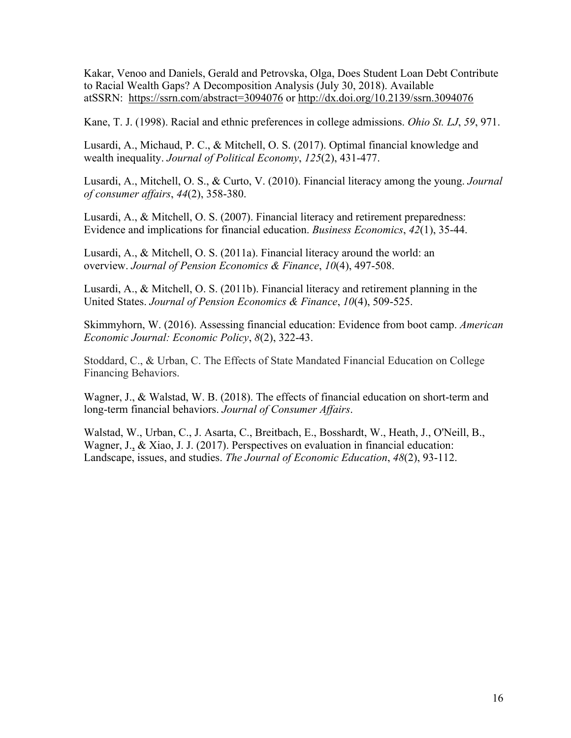Kakar, Venoo and Daniels, Gerald and Petrovska, Olga, Does Student Loan Debt Contribute to Racial Wealth Gaps? A Decomposition Analysis (July 30, 2018). Available atSSRN: https://ssrn.com/abstract=3094076 or http://dx.doi.org/10.2139/ssrn.3094076

Kane, T. J. (1998). Racial and ethnic preferences in college admissions. *Ohio St. LJ*, *59*, 971.

Lusardi, A., Michaud, P. C., & Mitchell, O. S. (2017). Optimal financial knowledge and wealth inequality. *Journal of Political Economy*, *125*(2), 431-477.

Lusardi, A., Mitchell, O. S., & Curto, V. (2010). Financial literacy among the young. *Journal of consumer affairs*, *44*(2), 358-380.

Lusardi, A., & Mitchell, O. S. (2007). Financial literacy and retirement preparedness: Evidence and implications for financial education. *Business Economics*, *42*(1), 35-44.

Lusardi, A., & Mitchell, O. S. (2011a). Financial literacy around the world: an overview. *Journal of Pension Economics & Finance*, *10*(4), 497-508.

Lusardi, A., & Mitchell, O. S. (2011b). Financial literacy and retirement planning in the United States. *Journal of Pension Economics & Finance*, *10*(4), 509-525.

Skimmyhorn, W. (2016). Assessing financial education: Evidence from boot camp. *American Economic Journal: Economic Policy*, *8*(2), 322-43.

Stoddard, C., & Urban, C. The Effects of State Mandated Financial Education on College Financing Behaviors.

Wagner, J., & Walstad, W. B. (2018). The effects of financial education on short-term and long-term financial behaviors. *Journal of Consumer Affairs*.

Walstad, W., Urban, C., J. Asarta, C., Breitbach, E., Bosshardt, W., Heath, J., O'Neill, B., Wagner, J., & Xiao, J. J. (2017). Perspectives on evaluation in financial education: Landscape, issues, and studies. *The Journal of Economic Education*, *48*(2), 93-112.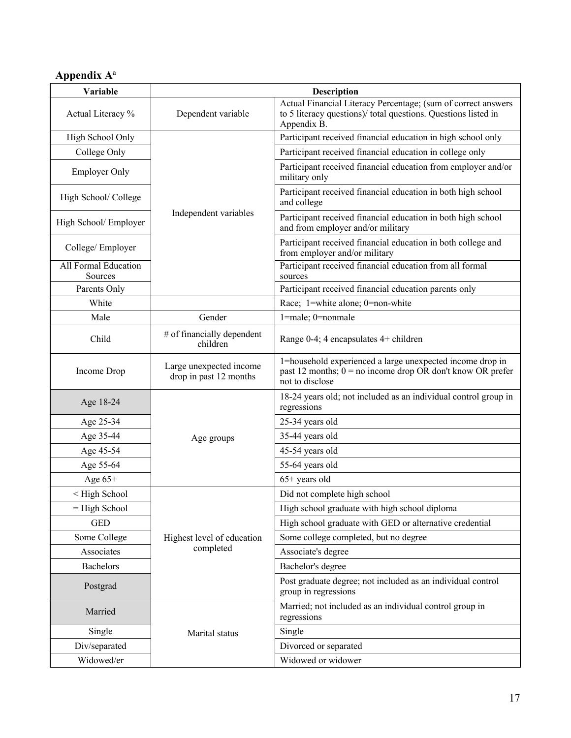## **Appendix A**<sup>a</sup>

| Variable                                                                     | <b>Description</b>                                |                                                                                                                                                |  |  |  |  |
|------------------------------------------------------------------------------|---------------------------------------------------|------------------------------------------------------------------------------------------------------------------------------------------------|--|--|--|--|
| Actual Literacy %                                                            | Dependent variable                                | Actual Financial Literacy Percentage; (sum of correct answers<br>to 5 literacy questions)/ total questions. Questions listed in<br>Appendix B. |  |  |  |  |
| High School Only                                                             |                                                   | Participant received financial education in high school only                                                                                   |  |  |  |  |
| College Only                                                                 |                                                   | Participant received financial education in college only                                                                                       |  |  |  |  |
| <b>Employer Only</b>                                                         |                                                   | Participant received financial education from employer and/or<br>military only                                                                 |  |  |  |  |
| High School/ College                                                         |                                                   | Participant received financial education in both high school<br>and college                                                                    |  |  |  |  |
| High School/ Employer                                                        | Independent variables                             | Participant received financial education in both high school<br>and from employer and/or military                                              |  |  |  |  |
| College/Employer                                                             |                                                   | Participant received financial education in both college and<br>from employer and/or military                                                  |  |  |  |  |
| All Formal Education<br>Sources                                              |                                                   | Participant received financial education from all formal<br>sources                                                                            |  |  |  |  |
| Parents Only                                                                 |                                                   | Participant received financial education parents only                                                                                          |  |  |  |  |
| White                                                                        |                                                   | Race; 1=white alone; 0=non-white                                                                                                               |  |  |  |  |
| Male                                                                         | Gender                                            | 1=male; 0=nonmale                                                                                                                              |  |  |  |  |
| Child                                                                        | # of financially dependent<br>children            | Range 0-4; 4 encapsulates 4+ children                                                                                                          |  |  |  |  |
| Income Drop                                                                  | Large unexpected income<br>drop in past 12 months | 1=household experienced a large unexpected income drop in<br>past 12 months; $0 = no$ income drop OR don't know OR prefer<br>not to disclose   |  |  |  |  |
| Age 18-24                                                                    |                                                   | 18-24 years old; not included as an individual control group in<br>regressions                                                                 |  |  |  |  |
| Age 25-34                                                                    |                                                   | 25-34 years old                                                                                                                                |  |  |  |  |
| Age 35-44                                                                    | Age groups                                        | 35-44 years old                                                                                                                                |  |  |  |  |
| Age 45-54                                                                    |                                                   | 45-54 years old                                                                                                                                |  |  |  |  |
| Age 55-64                                                                    |                                                   | 55-64 years old                                                                                                                                |  |  |  |  |
| Age $65+$                                                                    |                                                   | $65+$ years old                                                                                                                                |  |  |  |  |
| <high school<="" td=""><td></td><td>Did not complete high school</td></high> |                                                   | Did not complete high school                                                                                                                   |  |  |  |  |
| $=$ High School                                                              |                                                   | High school graduate with high school diploma                                                                                                  |  |  |  |  |
| <b>GED</b>                                                                   |                                                   | High school graduate with GED or alternative credential                                                                                        |  |  |  |  |
| Some College                                                                 | Highest level of education                        | Some college completed, but no degree                                                                                                          |  |  |  |  |
| Associates                                                                   | completed                                         | Associate's degree                                                                                                                             |  |  |  |  |
| Bachelors                                                                    |                                                   | Bachelor's degree                                                                                                                              |  |  |  |  |
| Postgrad                                                                     |                                                   | Post graduate degree; not included as an individual control<br>group in regressions                                                            |  |  |  |  |
| Married                                                                      |                                                   | Married; not included as an individual control group in<br>regressions                                                                         |  |  |  |  |
| Single                                                                       | Marital status                                    | Single                                                                                                                                         |  |  |  |  |
| Div/separated                                                                |                                                   | Divorced or separated                                                                                                                          |  |  |  |  |
| Widowed/er                                                                   |                                                   | Widowed or widower                                                                                                                             |  |  |  |  |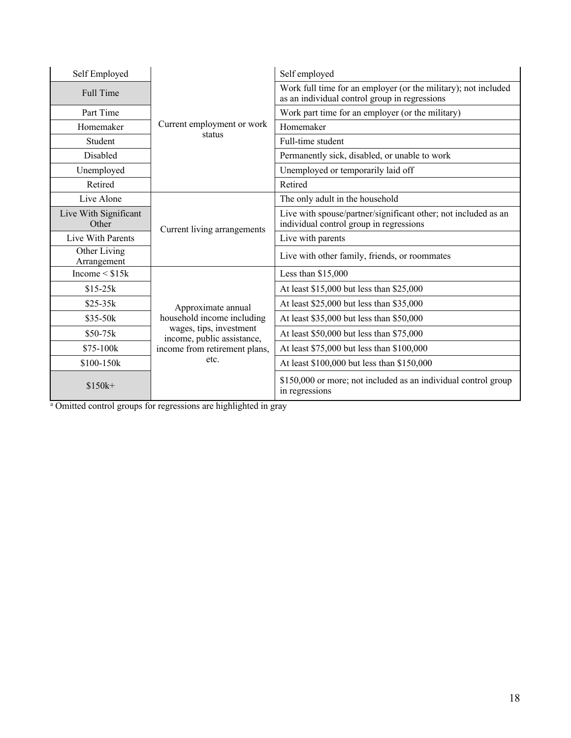| Self Employed                  |                                                       | Self employed                                                                                                   |  |  |  |  |
|--------------------------------|-------------------------------------------------------|-----------------------------------------------------------------------------------------------------------------|--|--|--|--|
| Full Time                      |                                                       | Work full time for an employer (or the military); not included<br>as an individual control group in regressions |  |  |  |  |
| Part Time                      |                                                       | Work part time for an employer (or the military)                                                                |  |  |  |  |
| Homemaker                      | Current employment or work                            | Homemaker                                                                                                       |  |  |  |  |
| Student                        | status                                                | Full-time student                                                                                               |  |  |  |  |
| Disabled                       |                                                       | Permanently sick, disabled, or unable to work                                                                   |  |  |  |  |
| Unemployed                     |                                                       | Unemployed or temporarily laid off                                                                              |  |  |  |  |
| Retired                        |                                                       | Retired                                                                                                         |  |  |  |  |
| Live Alone                     |                                                       | The only adult in the household                                                                                 |  |  |  |  |
| Live With Significant<br>Other | Current living arrangements                           | Live with spouse/partner/significant other; not included as an<br>individual control group in regressions       |  |  |  |  |
| Live With Parents              |                                                       | Live with parents                                                                                               |  |  |  |  |
| Other Living<br>Arrangement    |                                                       | Live with other family, friends, or roommates                                                                   |  |  |  |  |
| Income $\leq$ \$15 $k$         |                                                       | Less than $$15,000$                                                                                             |  |  |  |  |
| $$15-25k$                      |                                                       | At least \$15,000 but less than \$25,000                                                                        |  |  |  |  |
| $$25-35k$                      | Approximate annual                                    | At least \$25,000 but less than \$35,000                                                                        |  |  |  |  |
| $$35-50k$                      | household income including                            | At least \$35,000 but less than \$50,000                                                                        |  |  |  |  |
| $$50-75k$                      | wages, tips, investment<br>income, public assistance, | At least \$50,000 but less than \$75,000                                                                        |  |  |  |  |
| \$75-100k                      | income from retirement plans,                         | At least \$75,000 but less than \$100,000                                                                       |  |  |  |  |
| \$100-150k                     | etc.                                                  | At least \$100,000 but less than \$150,000                                                                      |  |  |  |  |
| $$150k+$                       |                                                       | \$150,000 or more; not included as an individual control group<br>in regressions                                |  |  |  |  |

<sup>a</sup> Omitted control groups for regressions are highlighted in gray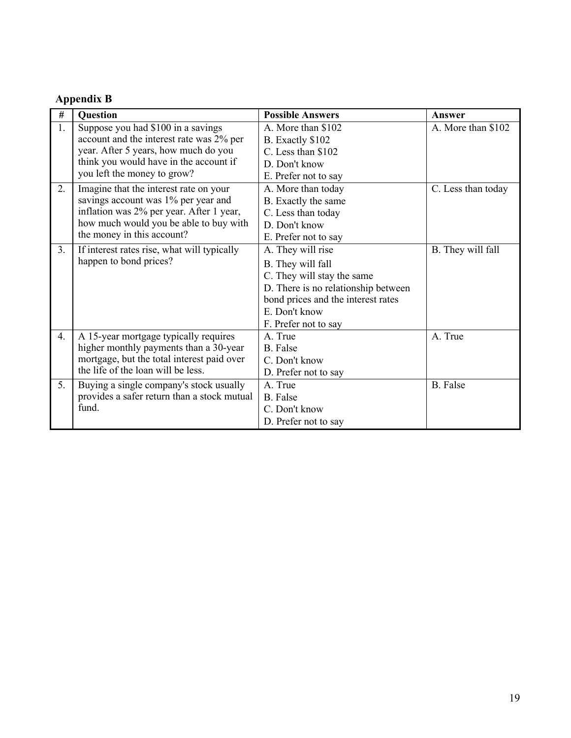### **Appendix B**

| $\#$ | Question                                    | <b>Possible Answers</b>             | Answer             |
|------|---------------------------------------------|-------------------------------------|--------------------|
| 1.   | Suppose you had \$100 in a savings          | A. More than \$102                  | A. More than \$102 |
|      | account and the interest rate was 2% per    | B. Exactly \$102                    |                    |
|      | year. After 5 years, how much do you        | C. Less than \$102                  |                    |
|      | think you would have in the account if      | D. Don't know                       |                    |
|      | you left the money to grow?                 | E. Prefer not to say                |                    |
| 2.   | Imagine that the interest rate on your      | A. More than today                  | C. Less than today |
|      | savings account was 1% per year and         | B. Exactly the same                 |                    |
|      | inflation was 2% per year. After 1 year,    | C. Less than today                  |                    |
|      | how much would you be able to buy with      | D. Don't know                       |                    |
|      | the money in this account?                  | E. Prefer not to say                |                    |
| 3.   | If interest rates rise, what will typically | A. They will rise                   | B. They will fall  |
|      | happen to bond prices?                      | B. They will fall                   |                    |
|      |                                             | C. They will stay the same          |                    |
|      |                                             | D. There is no relationship between |                    |
|      |                                             | bond prices and the interest rates  |                    |
|      |                                             | E. Don't know                       |                    |
|      |                                             | F. Prefer not to say                |                    |
| 4.   | A 15-year mortgage typically requires       | A. True                             | A. True            |
|      | higher monthly payments than a 30-year      | B. False                            |                    |
|      | mortgage, but the total interest paid over  | C. Don't know                       |                    |
|      | the life of the loan will be less.          | D. Prefer not to say                |                    |
| 5.   | Buying a single company's stock usually     | A. True                             | <b>B.</b> False    |
|      | provides a safer return than a stock mutual | <b>B.</b> False                     |                    |
|      | fund.                                       | C. Don't know                       |                    |
|      |                                             | D. Prefer not to say                |                    |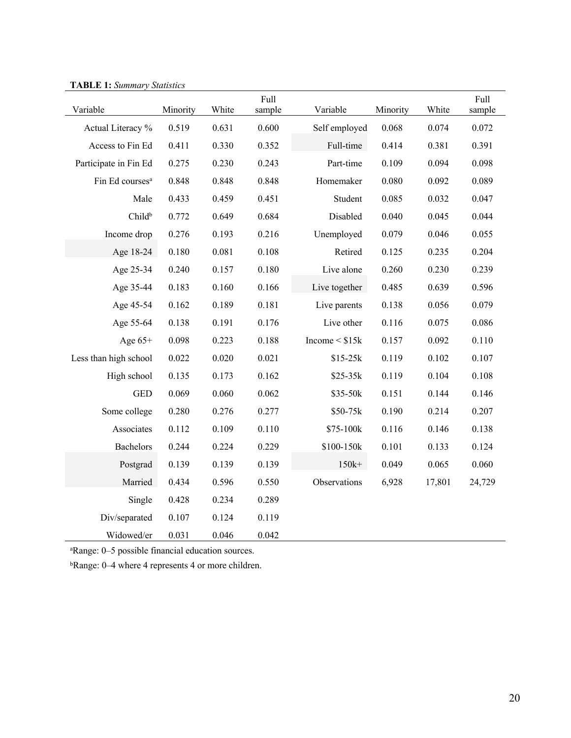| <i><b>INDEE I</b></i> , <i>Dummary Diamstres</i><br>Variable | Minority | White | Full<br>sample | Variable            | Minority | White  | Full<br>sample |
|--------------------------------------------------------------|----------|-------|----------------|---------------------|----------|--------|----------------|
| Actual Literacy %                                            | 0.519    | 0.631 | 0.600          | Self employed       | 0.068    | 0.074  | 0.072          |
| Access to Fin Ed                                             | 0.411    | 0.330 | 0.352          | Full-time           | 0.414    | 0.381  | 0.391          |
| Participate in Fin Ed                                        | 0.275    | 0.230 | 0.243          | Part-time           | 0.109    | 0.094  | 0.098          |
| Fin Ed courses <sup>a</sup>                                  | 0.848    | 0.848 | 0.848          | Homemaker           | 0.080    | 0.092  | 0.089          |
| Male                                                         | 0.433    | 0.459 | 0.451          | Student             | 0.085    | 0.032  | 0.047          |
| Childb                                                       | 0.772    | 0.649 | 0.684          | Disabled            | 0.040    | 0.045  | 0.044          |
| Income drop                                                  | 0.276    | 0.193 | 0.216          | Unemployed          | 0.079    | 0.046  | 0.055          |
| Age 18-24                                                    | 0.180    | 0.081 | 0.108          | Retired             | 0.125    | 0.235  | 0.204          |
| Age 25-34                                                    | 0.240    | 0.157 | 0.180          | Live alone          | 0.260    | 0.230  | 0.239          |
| Age 35-44                                                    | 0.183    | 0.160 | 0.166          | Live together       | 0.485    | 0.639  | 0.596          |
| Age 45-54                                                    | 0.162    | 0.189 | 0.181          | Live parents        | 0.138    | 0.056  | 0.079          |
| Age 55-64                                                    | 0.138    | 0.191 | 0.176          | Live other          | 0.116    | 0.075  | 0.086          |
| Age $65+$                                                    | 0.098    | 0.223 | 0.188          | Income $<$ \$15 $k$ | 0.157    | 0.092  | 0.110          |
| Less than high school                                        | 0.022    | 0.020 | 0.021          | $$15-25k$           | 0.119    | 0.102  | 0.107          |
| High school                                                  | 0.135    | 0.173 | 0.162          | $$25-35k$           | 0.119    | 0.104  | 0.108          |
| <b>GED</b>                                                   | 0.069    | 0.060 | 0.062          | \$35-50k            | 0.151    | 0.144  | 0.146          |
| Some college                                                 | 0.280    | 0.276 | 0.277          | \$50-75k            | 0.190    | 0.214  | 0.207          |
| Associates                                                   | 0.112    | 0.109 | 0.110          | \$75-100k           | 0.116    | 0.146  | 0.138          |
| <b>Bachelors</b>                                             | 0.244    | 0.224 | 0.229          | \$100-150k          | 0.101    | 0.133  | 0.124          |
| Postgrad                                                     | 0.139    | 0.139 | 0.139          | $150k+$             | 0.049    | 0.065  | 0.060          |
| Married                                                      | 0.434    | 0.596 | 0.550          | Observations        | 6,928    | 17,801 | 24,729         |
| Single                                                       | 0.428    | 0.234 | 0.289          |                     |          |        |                |
| Div/separated                                                | 0.107    | 0.124 | 0.119          |                     |          |        |                |
| Widowed/er                                                   | 0.031    | 0.046 | 0.042          |                     |          |        |                |

**TABLE 1:** *Summary Statistics*

a Range: 0–5 possible financial education sources.

bRange: 0–4 where 4 represents 4 or more children.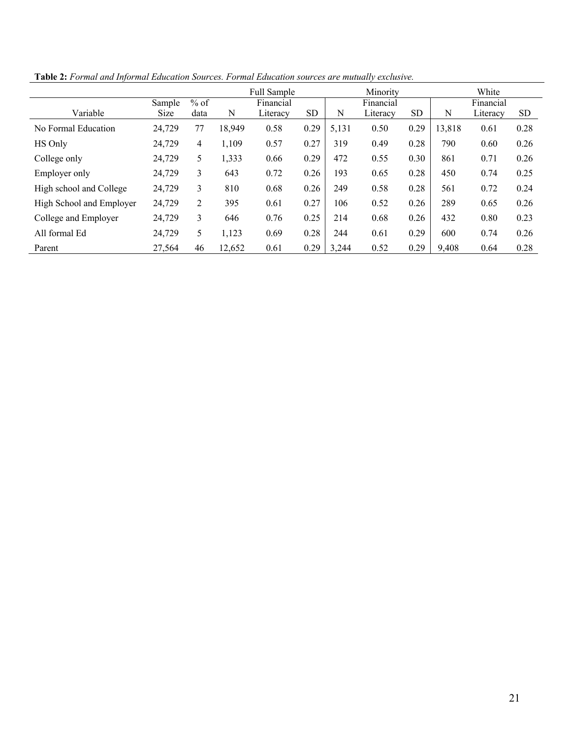|                          |        |                |        | Full Sample |           |       | Minority  |           |           | White    |           |
|--------------------------|--------|----------------|--------|-------------|-----------|-------|-----------|-----------|-----------|----------|-----------|
|                          | Sample | $%$ of         |        | Financial   |           |       | Financial |           | Financial |          |           |
| Variable                 | Size   | data           | N      | Literacy    | <b>SD</b> | N     | Literacy  | <b>SD</b> | N         | Literacy | <b>SD</b> |
| No Formal Education      | 24,729 | 77             | 18,949 | 0.58        | 0.29      | 5,131 | 0.50      | 0.29      | 13,818    | 0.61     | 0.28      |
| HS Only                  | 24,729 | $\overline{4}$ | 1,109  | 0.57        | 0.27      | 319   | 0.49      | 0.28      | 790       | 0.60     | 0.26      |
| College only             | 24,729 | 5              | 1,333  | 0.66        | 0.29      | 472   | 0.55      | 0.30      | 861       | 0.71     | 0.26      |
| Employer only            | 24,729 | 3              | 643    | 0.72        | 0.26      | 193   | 0.65      | 0.28      | 450       | 0.74     | 0.25      |
| High school and College  | 24,729 | 3              | 810    | 0.68        | 0.26      | 249   | 0.58      | 0.28      | 561       | 0.72     | 0.24      |
| High School and Employer | 24,729 | 2              | 395    | 0.61        | 0.27      | 106   | 0.52      | 0.26      | 289       | 0.65     | 0.26      |
| College and Employer     | 24,729 | 3              | 646    | 0.76        | 0.25      | 214   | 0.68      | 0.26      | 432       | 0.80     | 0.23      |
| All formal Ed            | 24,729 | 5              | 1,123  | 0.69        | 0.28      | 244   | 0.61      | 0.29      | 600       | 0.74     | 0.26      |
| Parent                   | 27,564 | 46             | 12,652 | 0.61        | 0.29      | 3,244 | 0.52      | 0.29      | 9,408     | 0.64     | 0.28      |

**Table 2:** *Formal and Informal Education Sources. Formal Education sources are mutually exclusive.*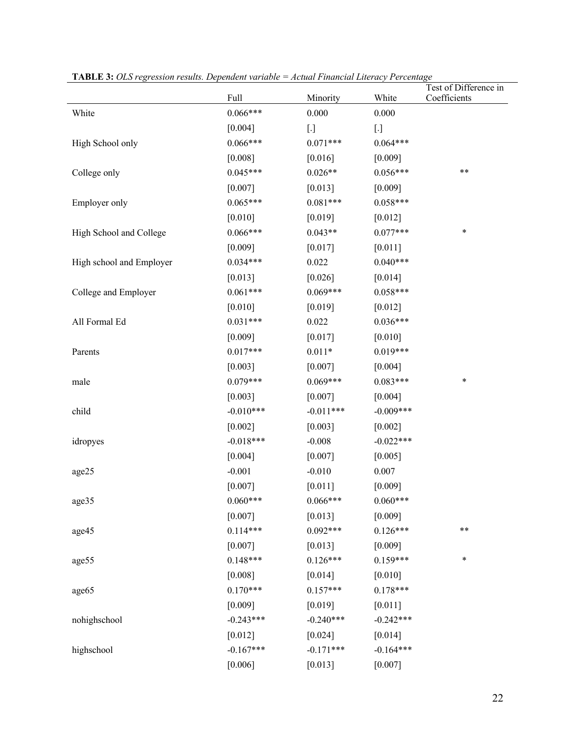| 11 <b>ABLE 9.</b> OLS regression results. Dependent variable – Tienua 1 maneiai Lucracy 1 creeniage |             |             |             | Test of Difference in |
|-----------------------------------------------------------------------------------------------------|-------------|-------------|-------------|-----------------------|
|                                                                                                     | Full        | Minority    | White       | Coefficients          |
| White                                                                                               | $0.066***$  | 0.000       | 0.000       |                       |
|                                                                                                     | [0.004]     | $[.]$       | $[.]$       |                       |
| High School only                                                                                    | $0.066***$  | $0.071***$  | $0.064***$  |                       |
|                                                                                                     | [0.008]     | [0.016]     | [0.009]     |                       |
| College only                                                                                        | $0.045***$  | $0.026**$   | $0.056***$  | **                    |
|                                                                                                     | [0.007]     | $[0.013]$   | [0.009]     |                       |
| Employer only                                                                                       | $0.065***$  | $0.081***$  | $0.058***$  |                       |
|                                                                                                     | $[0.010]$   | [0.019]     | [0.012]     |                       |
| High School and College                                                                             | $0.066***$  | $0.043**$   | $0.077***$  | $\ast$                |
|                                                                                                     | [0.009]     | $[0.017]$   | [0.011]     |                       |
| High school and Employer                                                                            | $0.034***$  | 0.022       | $0.040***$  |                       |
|                                                                                                     | [0.013]     | $[0.026]$   | [0.014]     |                       |
| College and Employer                                                                                | $0.061***$  | $0.069***$  | $0.058***$  |                       |
|                                                                                                     | $[0.010]$   | [0.019]     | [0.012]     |                       |
| All Formal Ed                                                                                       | $0.031***$  | 0.022       | $0.036***$  |                       |
|                                                                                                     | [0.009]     | [0.017]     | [0.010]     |                       |
| Parents                                                                                             | $0.017***$  | $0.011*$    | $0.019***$  |                       |
|                                                                                                     | $[0.003]$   | $[0.007]$   | [0.004]     |                       |
| male                                                                                                | $0.079***$  | $0.069***$  | $0.083***$  | *                     |
|                                                                                                     | [0.003]     | [0.007]     | [0.004]     |                       |
| child                                                                                               | $-0.010***$ | $-0.011***$ | $-0.009***$ |                       |
|                                                                                                     | $[0.002]$   | [0.003]     | [0.002]     |                       |
| idropyes                                                                                            | $-0.018***$ | $-0.008$    | $-0.022***$ |                       |
|                                                                                                     | [0.004]     | $[0.007]$   | [0.005]     |                       |
| age25                                                                                               | $-0.001$    | $-0.010$    | 0.007       |                       |
|                                                                                                     | [0.007]     | [0.011]     | [0.009]     |                       |
| age35                                                                                               | $0.060***$  | $0.066***$  | $0.060***$  |                       |
|                                                                                                     | [0.007]     | [0.013]     | [0.009]     |                       |
| age45                                                                                               | $0.114***$  | $0.092***$  | $0.126***$  | **                    |
|                                                                                                     | $[0.007]$   | [0.013]     | [0.009]     |                       |
| age55                                                                                               | $0.148***$  | $0.126***$  | $0.159***$  | *                     |
|                                                                                                     | [0.008]     | [0.014]     | [0.010]     |                       |
| age65                                                                                               | $0.170***$  | $0.157***$  | $0.178***$  |                       |
|                                                                                                     | [0.009]     | [0.019]     | [0.011]     |                       |
| nohighschool                                                                                        | $-0.243***$ | $-0.240***$ | $-0.242***$ |                       |
|                                                                                                     | $[0.012]$   | [0.024]     | $[0.014]$   |                       |
| highschool                                                                                          | $-0.167***$ | $-0.171***$ | $-0.164***$ |                       |
|                                                                                                     | [0.006]     | [0.013]     | [0.007]     |                       |

**TABLE 3:** *OLS regression results. Dependent variable = Actual Financial Literacy Percentage*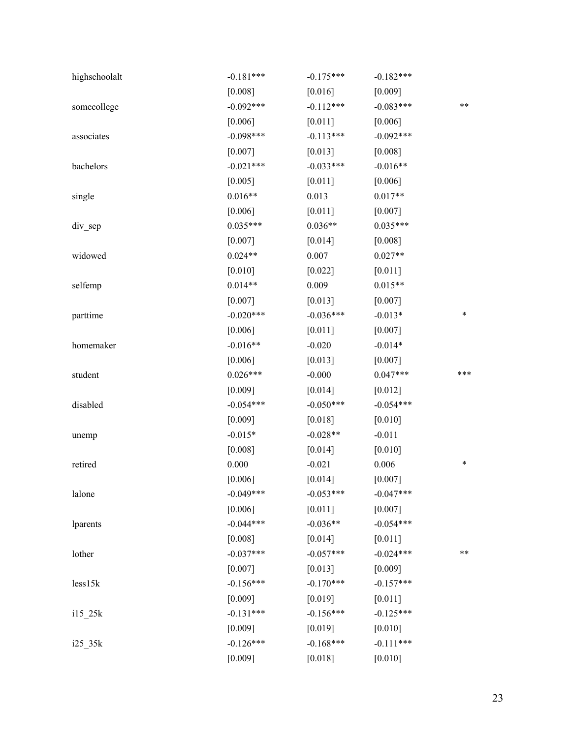| highschoolalt | $-0.181***$ | $-0.175***$ | $-0.182***$ |     |
|---------------|-------------|-------------|-------------|-----|
|               | [0.008]     | [0.016]     | [0.009]     |     |
| somecollege   | $-0.092***$ | $-0.112***$ | $-0.083***$ | **  |
|               | [0.006]     | [0.011]     | [0.006]     |     |
| associates    | $-0.098***$ | $-0.113***$ | $-0.092***$ |     |
|               | [0.007]     | [0.013]     | [0.008]     |     |
| bachelors     | $-0.021***$ | $-0.033***$ | $-0.016**$  |     |
|               | [0.005]     | $[0.011]$   | [0.006]     |     |
| single        | $0.016**$   | 0.013       | $0.017**$   |     |
|               | [0.006]     | $[0.011]$   | [0.007]     |     |
| $div$ sep     | $0.035***$  | $0.036**$   | $0.035***$  |     |
|               | [0.007]     | [0.014]     | [0.008]     |     |
| widowed       | $0.024**$   | 0.007       | $0.027**$   |     |
|               | $[0.010]$   | $[0.022]$   | [0.011]     |     |
| selfemp       | $0.014**$   | 0.009       | $0.015**$   |     |
|               | $[0.007]$   | [0.013]     | [0.007]     |     |
| parttime      | $-0.020***$ | $-0.036***$ | $-0.013*$   | *   |
|               | [0.006]     | [0.011]     | [0.007]     |     |
| homemaker     | $-0.016**$  | $-0.020$    | $-0.014*$   |     |
|               | [0.006]     | $[0.013]$   | [0.007]     |     |
| student       | $0.026***$  | $-0.000$    | $0.047***$  | *** |
|               | [0.009]     | [0.014]     | [0.012]     |     |
|               |             | $-0.050***$ | $-0.054***$ |     |
| disabled      | $-0.054***$ |             |             |     |
|               | [0.009]     | $[0.018]$   | [0.010]     |     |
| unemp         | $-0.015*$   | $-0.028**$  | $-0.011$    |     |
|               | [0.008]     | $[0.014]$   | [0.010]     |     |
| retired       | 0.000       | $-0.021$    | 0.006       | *   |
|               | [0.006]     | [0.014]     | [0.007]     |     |
| lalone        | $-0.049***$ | $-0.053***$ | $-0.047***$ |     |
|               | [0.006]     | $[0.011]$   | [0.007]     |     |
| lparents      | $-0.044***$ | $-0.036**$  | $-0.054***$ |     |
|               | [0.008]     | [0.014]     | [0.011]     |     |
| lother        | $-0.037***$ | $-0.057***$ | $-0.024***$ | **  |
|               | [0.007]     | [0.013]     | [0.009]     |     |
| less 15k      | $-0.156***$ | $-0.170***$ | $-0.157***$ |     |
|               | [0.009]     | [0.019]     | [0.011]     |     |
| $i15$ 25 $k$  | $-0.131***$ | $-0.156***$ | $-0.125***$ |     |
|               | [0.009]     | [0.019]     | [0.010]     |     |
| $i25$ 35 $k$  | $-0.126***$ | $-0.168***$ | $-0.111***$ |     |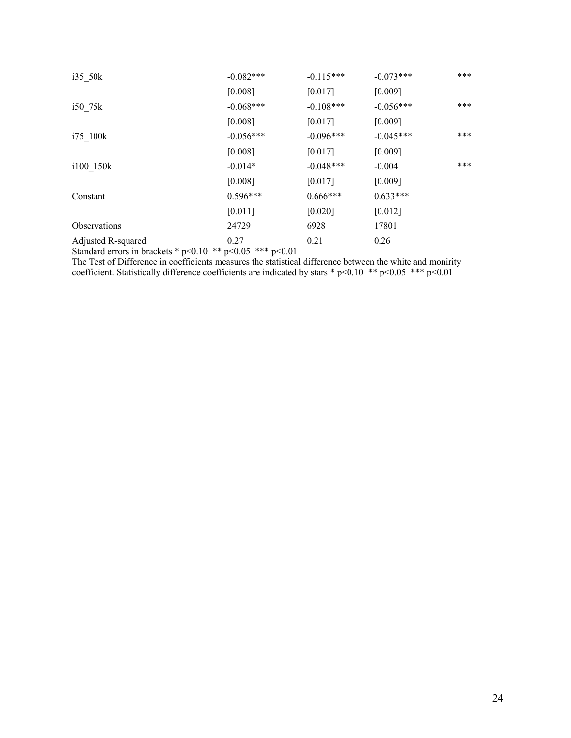| $i35$ 50 $k$                                                                                 | $-0.082***$                                                                            | $-0.115***$ | $-0.073***$ | *** |
|----------------------------------------------------------------------------------------------|----------------------------------------------------------------------------------------|-------------|-------------|-----|
|                                                                                              | [0.008]                                                                                | [0.017]     | [0.009]     |     |
| $i50$ 75k                                                                                    | $-0.068***$                                                                            | $-0.108***$ | $-0.056***$ | *** |
|                                                                                              | [0.008]                                                                                | [0.017]     | [0.009]     |     |
| $175$ 100 $k$                                                                                | $-0.056***$                                                                            | $-0.096***$ | $-0.045***$ | *** |
|                                                                                              | [0.008]                                                                                | [0.017]     | [0.009]     |     |
| i100 150k                                                                                    | $-0.014*$                                                                              | $-0.048***$ | $-0.004$    | *** |
|                                                                                              | [0.008]                                                                                | [0.017]     | [0.009]     |     |
| Constant                                                                                     | $0.596***$                                                                             | $0.666***$  | $0.633***$  |     |
|                                                                                              | $[0.011]$                                                                              | $[0.020]$   | [0.012]     |     |
| <b>Observations</b>                                                                          | 24729                                                                                  | 6928        | 17801       |     |
| Adjusted R-squared<br>. .<br>$\mathbf{1}$ $\mathbf{1}$<br>$\Lambda$ 1 $\Lambda$<br>ماله ماله | 0.27<br>$\Lambda$ $\Lambda$ $\Lambda$ $\Lambda$ $\Lambda$ $\Lambda$<br>$\sim$ $\sim$ 1 | 0.21        | 0.26        |     |

Standard errors in brackets \*  $p<0.10$  \*\*  $p<0.05$  \*\*\*  $p<0.01$ 

The Test of Difference in coefficients measures the statistical difference between the white and monirity coefficient. Statistically difference coefficients are indicated by stars  $*$  p<0.10  $**$  p<0.05  $***$  p<0.01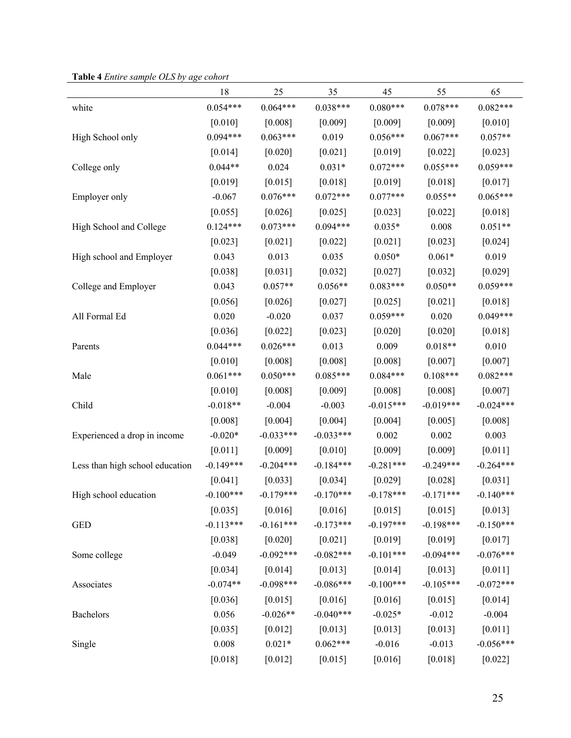| <b>Table 4</b> Entire sumple OLS by age conort |             |             |             |             |             |             |
|------------------------------------------------|-------------|-------------|-------------|-------------|-------------|-------------|
|                                                | 18          | 25          | 35          | 45          | 55          | 65          |
| white                                          | $0.054***$  | $0.064***$  | $0.038***$  | $0.080***$  | $0.078***$  | $0.082***$  |
|                                                | $[0.010]$   | [0.008]     | [0.009]     | [0.009]     | [0.009]     | $[0.010]$   |
| High School only                               | $0.094***$  | $0.063***$  | 0.019       | $0.056***$  | $0.067***$  | $0.057**$   |
|                                                | [0.014]     | $[0.020]$   | $[0.021]$   | [0.019]     | [0.022]     | $[0.023]$   |
| College only                                   | $0.044**$   | 0.024       | $0.031*$    | $0.072***$  | $0.055***$  | $0.059***$  |
|                                                | [0.019]     | [0.015]     | [0.018]     | [0.019]     | [0.018]     | $[0.017]$   |
| Employer only                                  | $-0.067$    | $0.076***$  | $0.072***$  | $0.077***$  | $0.055**$   | $0.065***$  |
|                                                | [0.055]     | [0.026]     | [0.025]     | [0.023]     | [0.022]     | $[0.018]$   |
| High School and College                        | $0.124***$  | $0.073***$  | $0.094***$  | $0.035*$    | 0.008       | $0.051**$   |
|                                                | $[0.023]$   | $[0.021]$   | [0.022]     | $[0.021]$   | [0.023]     | $[0.024]$   |
| High school and Employer                       | 0.043       | 0.013       | 0.035       | $0.050*$    | $0.061*$    | 0.019       |
|                                                | [0.038]     | [0.031]     | [0.032]     | $[0.027]$   | [0.032]     | [0.029]     |
| College and Employer                           | 0.043       | $0.057**$   | $0.056**$   | $0.083***$  | $0.050**$   | $0.059***$  |
|                                                | [0.056]     | [0.026]     | [0.027]     | [0.025]     | [0.021]     | $[0.018]$   |
| All Formal Ed                                  | 0.020       | $-0.020$    | 0.037       | $0.059***$  | 0.020       | $0.049***$  |
|                                                | [0.036]     | $[0.022]$   | [0.023]     | $[0.020]$   | [0.020]     | [0.018]     |
| Parents                                        | $0.044***$  | $0.026***$  | 0.013       | 0.009       | $0.018**$   | 0.010       |
|                                                | $[0.010]$   | [0.008]     | [0.008]     | [0.008]     | [0.007]     | [0.007]     |
| Male                                           | $0.061***$  | $0.050***$  | $0.085***$  | $0.084***$  | $0.108***$  | $0.082***$  |
|                                                | $[0.010]$   | [0.008]     | [0.009]     | [0.008]     | [0.008]     | $[0.007]$   |
| Child                                          | $-0.018**$  | $-0.004$    | $-0.003$    | $-0.015***$ | $-0.019***$ | $-0.024***$ |
|                                                | [0.008]     | [0.004]     | [0.004]     | [0.004]     | [0.005]     | [0.008]     |
| Experienced a drop in income                   | $-0.020*$   | $-0.033***$ | $-0.033***$ | 0.002       | 0.002       | 0.003       |
|                                                | $[0.011]$   | [0.009]     | $[0.010]$   | [0.009]     | [0.009]     | $[0.011]$   |
| Less than high school education                | $-0.149***$ | $-0.204***$ | $-0.184***$ | $-0.281***$ | $-0.249***$ | $-0.264***$ |
|                                                | $[0.041]$   | [0.033]     | [0.034]     | [0.029]     | [0.028]     | [0.031]     |
| High school education                          | $-0.100***$ | $-0.179***$ | $-0.170***$ | $-0.178***$ | $-0.171***$ | $-0.140***$ |
|                                                | $[0.035]$   | $[0.016]$   | $[0.016]$   | $[0.015]$   | [0.015]     | $[0.013]$   |
| <b>GED</b>                                     | $-0.113***$ | $-0.161***$ | $-0.173***$ | $-0.197***$ | $-0.198***$ | $-0.150***$ |
|                                                | [0.038]     | $[0.020]$   | $[0.021]$   | $[0.019]$   | $[0.019]$   | [0.017]     |
| Some college                                   | $-0.049$    | $-0.092***$ | $-0.082***$ | $-0.101***$ | $-0.094***$ | $-0.076***$ |
|                                                | [0.034]     | [0.014]     | [0.013]     | [0.014]     | [0.013]     | [0.011]     |
| Associates                                     | $-0.074**$  | $-0.098***$ | $-0.086***$ | $-0.100***$ | $-0.105***$ | $-0.072***$ |
|                                                | [0.036]     | [0.015]     | [0.016]     | [0.016]     | [0.015]     | $[0.014]$   |
| Bachelors                                      | 0.056       | $-0.026**$  | $-0.040***$ | $-0.025*$   | $-0.012$    | $-0.004$    |
|                                                | [0.035]     | [0.012]     | [0.013]     | [0.013]     | [0.013]     | $[0.011]$   |
| Single                                         | 0.008       | $0.021*$    | $0.062***$  | $-0.016$    | $-0.013$    | $-0.056***$ |
|                                                | [0.018]     | [0.012]     | [0.015]     | [0.016]     | [0.018]     | $[0.022]$   |

**Table 4** *Entire sample OLS by age cohort*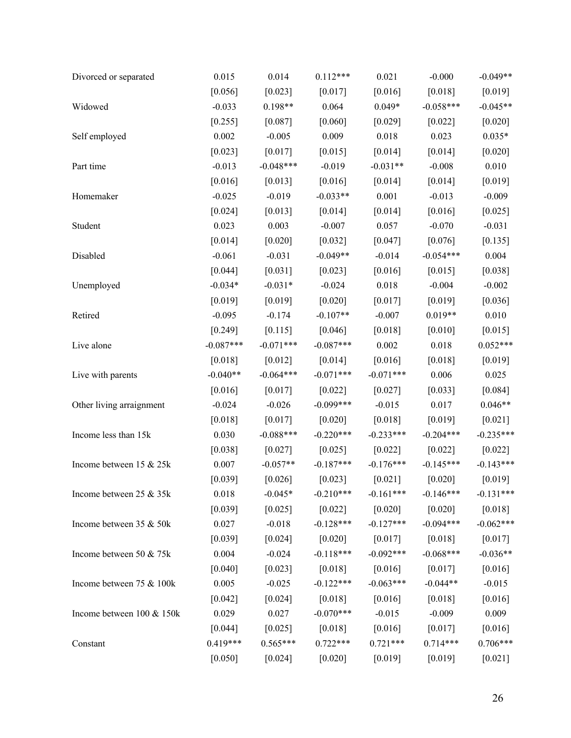| Divorced or separated     | 0.015       | 0.014       | $0.112***$  | 0.021       | $-0.000$    | $-0.049**$  |
|---------------------------|-------------|-------------|-------------|-------------|-------------|-------------|
|                           | [0.056]     | [0.023]     | [0.017]     | [0.016]     | [0.018]     | [0.019]     |
| Widowed                   | $-0.033$    | $0.198**$   | 0.064       | $0.049*$    | $-0.058***$ | $-0.045**$  |
|                           | [0.255]     | $[0.087]$   | [0.060]     | $[0.029]$   | $[0.022]$   | [0.020]     |
| Self employed             | 0.002       | $-0.005$    | 0.009       | 0.018       | 0.023       | $0.035*$    |
|                           | [0.023]     | $[0.017]$   | [0.015]     | $[0.014]$   | $[0.014]$   | [0.020]     |
| Part time                 | $-0.013$    | $-0.048***$ | $-0.019$    | $-0.031**$  | $-0.008$    | 0.010       |
|                           | [0.016]     | [0.013]     | [0.016]     | $[0.014]$   | [0.014]     | [0.019]     |
| Homemaker                 | $-0.025$    | $-0.019$    | $-0.033**$  | 0.001       | $-0.013$    | $-0.009$    |
|                           | $[0.024]$   | [0.013]     | [0.014]     | $[0.014]$   | [0.016]     | [0.025]     |
| Student                   | 0.023       | 0.003       | $-0.007$    | 0.057       | $-0.070$    | $-0.031$    |
|                           | $[0.014]$   | $[0.020]$   | [0.032]     | [0.047]     | [0.076]     | [0.135]     |
| Disabled                  | $-0.061$    | $-0.031$    | $-0.049**$  | $-0.014$    | $-0.054***$ | 0.004       |
|                           | [0.044]     | [0.031]     | [0.023]     | [0.016]     | [0.015]     | [0.038]     |
| Unemployed                | $-0.034*$   | $-0.031*$   | $-0.024$    | 0.018       | $-0.004$    | $-0.002$    |
|                           | [0.019]     | [0.019]     | [0.020]     | [0.017]     | [0.019]     | [0.036]     |
| Retired                   | $-0.095$    | $-0.174$    | $-0.107**$  | $-0.007$    | $0.019**$   | 0.010       |
|                           | [0.249]     | [0.115]     | [0.046]     | [0.018]     | $[0.010]$   | [0.015]     |
| Live alone                | $-0.087***$ | $-0.071***$ | $-0.087***$ | 0.002       | $0.018\,$   | $0.052***$  |
|                           | [0.018]     | $[0.012]$   | [0.014]     | [0.016]     | [0.018]     | [0.019]     |
| Live with parents         | $-0.040**$  | $-0.064***$ | $-0.071***$ | $-0.071***$ | 0.006       | 0.025       |
|                           | [0.016]     | [0.017]     | $[0.022]$   | [0.027]     | [0.033]     | [0.084]     |
| Other living arraignment  | $-0.024$    | $-0.026$    | $-0.099***$ | $-0.015$    | 0.017       | $0.046**$   |
|                           | [0.018]     | $[0.017]$   | [0.020]     | $[0.018]$   | [0.019]     | [0.021]     |
| Income less than 15k      | 0.030       | $-0.088***$ | $-0.220***$ | $-0.233***$ | $-0.204***$ | $-0.235***$ |
|                           | [0.038]     | [0.027]     | [0.025]     | $[0.022]$   | [0.022]     | [0.022]     |
| Income between 15 & 25k   | 0.007       | $-0.057**$  | $-0.187***$ | $-0.176***$ | $-0.145***$ | $-0.143***$ |
|                           | [0.039]     | [0.026]     | [0.023]     | $[0.021]$   | [0.020]     | [0.019]     |
| Income between 25 & 35k   | 0.018       | $-0.045*$   | $-0.210***$ | $-0.161***$ | $-0.146***$ | $-0.131***$ |
|                           | [0.039]     | [0.025]     | $[0.022]$   | $[0.020]$   | $[0.020]$   | [0.018]     |
| Income between 35 & 50k   | 0.027       | $-0.018$    | $-0.128***$ | $-0.127***$ | $-0.094***$ | $-0.062***$ |
|                           | [0.039]     | [0.024]     | $[0.020]$   | [0.017]     | [0.018]     | [0.017]     |
| Income between 50 & 75k   | 0.004       | $-0.024$    | $-0.118***$ | $-0.092***$ | $-0.068***$ | $-0.036**$  |
|                           | [0.040]     | [0.023]     | $[0.018]$   | [0.016]     | [0.017]     | [0.016]     |
| Income between 75 & 100k  | 0.005       | $-0.025$    | $-0.122***$ | $-0.063***$ | $-0.044**$  | $-0.015$    |
|                           | $[0.042]$   | $[0.024]$   | $[0.018]$   | [0.016]     | [0.018]     | $[0.016]$   |
| Income between 100 & 150k | 0.029       | 0.027       | $-0.070***$ | $-0.015$    | $-0.009$    | 0.009       |
|                           | [0.044]     | [0.025]     | $[0.018]$   | [0.016]     | [0.017]     | [0.016]     |
| Constant                  | $0.419***$  | $0.565***$  | $0.722***$  | $0.721***$  | $0.714***$  | $0.706***$  |
|                           | $[0.050]$   | $[0.024]$   | $[0.020]$   | $[0.019]$   | [0.019]     | [0.021]     |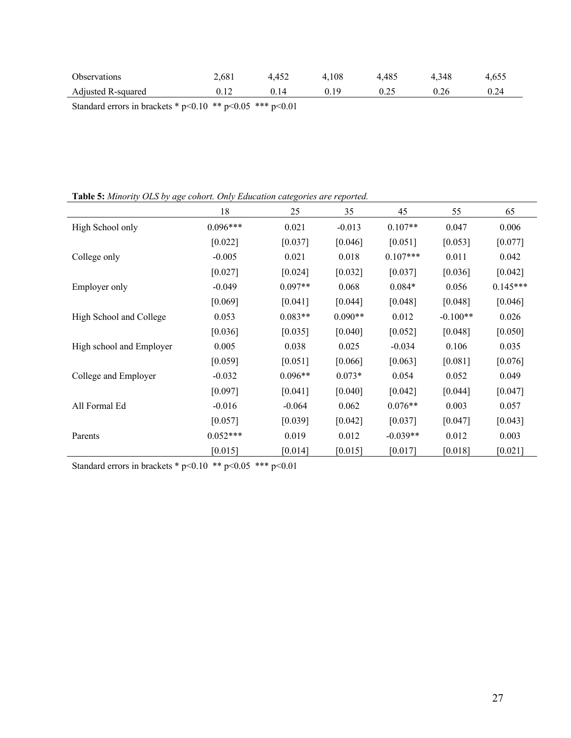| Observations       | 2.681 | 4.452 | 4.108 | 4.485 | 4.348 | 4.655 |
|--------------------|-------|-------|-------|-------|-------|-------|
| Adjusted R-squared |       | 0.14  | 0.19  | 0.25  | 0.26  |       |

Standard errors in brackets \* p<0.10 \*\* p<0.05 \*\*\* p<0.01

**Table 5:** *Minority OLS by age cohort. Only Education categories are reported.*

|                          | 18         | 25        | 35        | 45         | 55         | 65         |
|--------------------------|------------|-----------|-----------|------------|------------|------------|
| High School only         | $0.096***$ | 0.021     | $-0.013$  | $0.107**$  | 0.047      | 0.006      |
|                          | [0.022]    | [0.037]   | [0.046]   | [0.051]    | [0.053]    | [0.077]    |
| College only             | $-0.005$   | 0.021     | 0.018     | $0.107***$ | 0.011      | 0.042      |
|                          | [0.027]    | [0.024]   | [0.032]   | [0.037]    | [0.036]    | [0.042]    |
| Employer only            | $-0.049$   | $0.097**$ | 0.068     | $0.084*$   | 0.056      | $0.145***$ |
|                          | [0.069]    | [0.041]   | [0.044]   | [0.048]    | [0.048]    | [0.046]    |
| High School and College  | 0.053      | $0.083**$ | $0.090**$ | 0.012      | $-0.100**$ | 0.026      |
|                          | [0.036]    | [0.035]   | [0.040]   | [0.052]    | [0.048]    | [0.050]    |
| High school and Employer | 0.005      | 0.038     | 0.025     | $-0.034$   | 0.106      | 0.035      |
|                          | [0.059]    | [0.051]   | [0.066]   | [0.063]    | [0.081]    | [0.076]    |
| College and Employer     | $-0.032$   | $0.096**$ | $0.073*$  | 0.054      | 0.052      | 0.049      |
|                          | [0.097]    | [0.041]   | [0.040]   | [0.042]    | [0.044]    | [0.047]    |
| All Formal Ed            | $-0.016$   | $-0.064$  | 0.062     | $0.076**$  | 0.003      | 0.057      |
|                          | [0.057]    | [0.039]   | [0.042]   | [0.037]    | [0.047]    | [0.043]    |
| Parents                  | $0.052***$ | 0.019     | 0.012     | $-0.039**$ | 0.012      | 0.003      |
|                          | [0.015]    | [0.014]   | [0.015]   | [0.017]    | [0.018]    | [0.021]    |

Standard errors in brackets \* p<0.10 \*\* p<0.05 \*\*\* p<0.01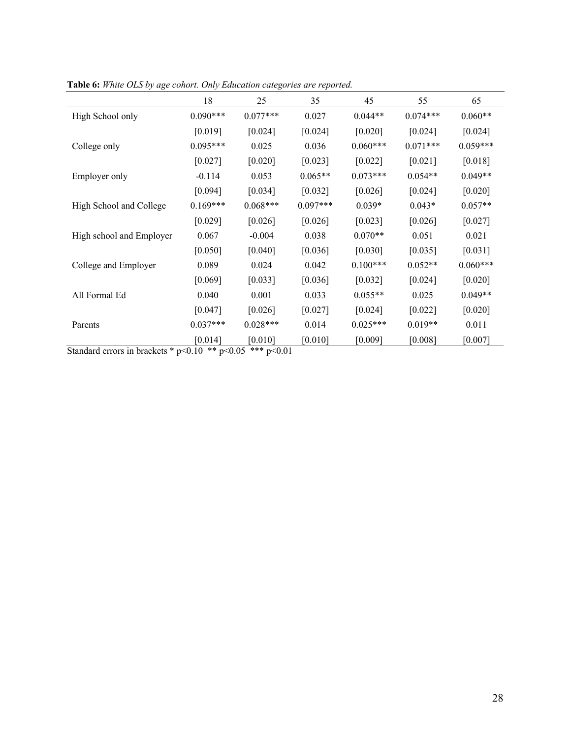|                          | 18         | 25         | 35         | 45         | 55         | 65         |
|--------------------------|------------|------------|------------|------------|------------|------------|
| High School only         | $0.090***$ | $0.077***$ | 0.027      | $0.044**$  | $0.074***$ | $0.060**$  |
|                          | [0.019]    | [0.024]    | [0.024]    | [0.020]    | [0.024]    | [0.024]    |
| College only             | $0.095***$ | 0.025      | 0.036      | $0.060***$ | $0.071***$ | $0.059***$ |
|                          | [0.027]    | [0.020]    | [0.023]    | [0.022]    | [0.021]    | [0.018]    |
| Employer only            | $-0.114$   | 0.053      | $0.065**$  | $0.073***$ | $0.054**$  | $0.049**$  |
|                          | [0.094]    | [0.034]    | [0.032]    | [0.026]    | [0.024]    | [0.020]    |
| High School and College  | $0.169***$ | $0.068***$ | $0.097***$ | $0.039*$   | $0.043*$   | $0.057**$  |
|                          | [0.029]    | [0.026]    | [0.026]    | [0.023]    | [0.026]    | [0.027]    |
| High school and Employer | 0.067      | $-0.004$   | 0.038      | $0.070**$  | 0.051      | 0.021      |
|                          | [0.050]    | [0.040]    | [0.036]    | [0.030]    | [0.035]    | [0.031]    |
| College and Employer     | 0.089      | 0.024      | 0.042      | $0.100***$ | $0.052**$  | $0.060***$ |
|                          | [0.069]    | [0.033]    | [0.036]    | [0.032]    | [0.024]    | [0.020]    |
| All Formal Ed            | 0.040      | 0.001      | 0.033      | $0.055**$  | 0.025      | $0.049**$  |
|                          | [0.047]    | [0.026]    | [0.027]    | [0.024]    | [0.022]    | [0.020]    |
| Parents                  | $0.037***$ | $0.028***$ | 0.014      | $0.025***$ | $0.019**$  | 0.011      |
|                          | [0.014]    | [0.010]    | [0.010]    | [0.009]    | [0.008]    | [0.007]    |

**Table 6:** *White OLS by age cohort. Only Education categories are reported.*

Standard errors in brackets \*  $p<0.10$  \*\*  $p<0.05$  \*\*\*  $p<0.01$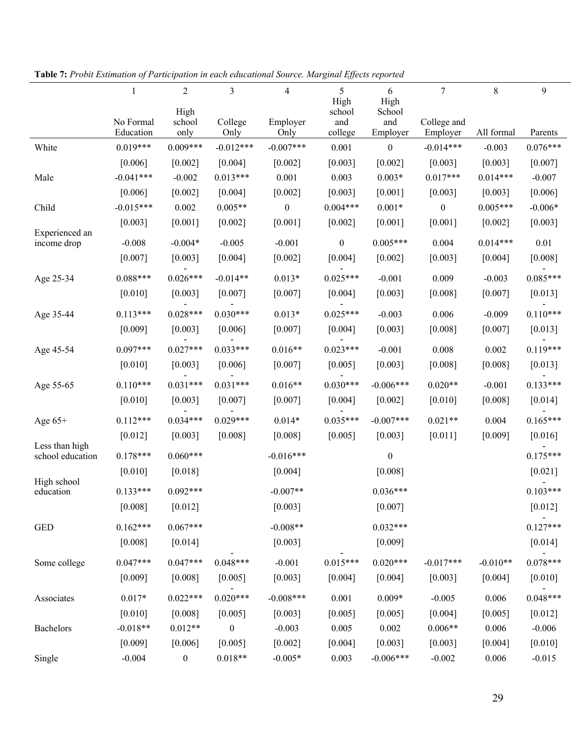|                                    | $\mathbf{1}$ | $\overline{2}$   | 3                | $\overline{\mathbf{4}}$ | 5                | 6                | 7                | $8\,$      | 9          |
|------------------------------------|--------------|------------------|------------------|-------------------------|------------------|------------------|------------------|------------|------------|
|                                    |              | High             |                  |                         | High<br>school   | High<br>School   |                  |            |            |
|                                    | No Formal    | school           | College          | Employer                | and              | and              | College and      |            |            |
|                                    | Education    | only             | Only             | Only                    | college          | Employer         | Employer         | All formal | Parents    |
| White                              | $0.019***$   | $0.009***$       | $-0.012***$      | $-0.007***$             | 0.001            | $\boldsymbol{0}$ | $-0.014***$      | $-0.003$   | $0.076***$ |
|                                    | [0.006]      | [0.002]          | [0.004]          | [0.002]                 | [0.003]          | [0.002]          | [0.003]          | [0.003]    | [0.007]    |
| Male                               | $-0.041***$  | $-0.002$         | $0.013***$       | 0.001                   | 0.003            | $0.003*$         | $0.017***$       | $0.014***$ | $-0.007$   |
|                                    | [0.006]      | $[0.002]$        | [0.004]          | [0.002]                 | [0.003]          | [0.001]          | [0.003]          | [0.003]    | [0.006]    |
| Child                              | $-0.015***$  | 0.002            | $0.005**$        | $\boldsymbol{0}$        | $0.004***$       | $0.001*$         | $\boldsymbol{0}$ | $0.005***$ | $-0.006*$  |
|                                    | [0.003]      | $[0.001]$        | $[0.002]$        | $[0.001]$               | $[0.002]$        | [0.001]          | $[0.001]$        | $[0.002]$  | [0.003]    |
| Experienced an<br>income drop      | $-0.008$     | $-0.004*$        | $-0.005$         | $-0.001$                | $\boldsymbol{0}$ | $0.005***$       | 0.004            | $0.014***$ | 0.01       |
|                                    | [0.007]      | [0.003]          | [0.004]          | $[0.002]$               | [0.004]          | [0.002]          | [0.003]          | [0.004]    | [0.008]    |
|                                    |              |                  |                  |                         |                  |                  |                  |            |            |
| Age 25-34                          | $0.088***$   | $0.026***$       | $-0.014**$       | $0.013*$                | $0.025***$       | $-0.001$         | 0.009            | $-0.003$   | $0.085***$ |
|                                    | $[0.010]$    | [0.003]          | [0.007]          | [0.007]                 | [0.004]          | [0.003]          | [0.008]          | [0.007]    | [0.013]    |
| Age 35-44                          | $0.113***$   | $0.028***$       | $0.030***$       | $0.013*$                | $0.025***$       | $-0.003$         | 0.006            | $-0.009$   | $0.110***$ |
|                                    | [0.009]      | [0.003]          | [0.006]          | $[0.007]$               | [0.004]          | [0.003]          | [0.008]          | [0.007]    | [0.013]    |
| Age 45-54                          | $0.097***$   | $0.027***$       | $0.033***$       | $0.016**$               | $0.023***$       | $-0.001$         | 0.008            | 0.002      | $0.119***$ |
|                                    | $[0.010]$    | [0.003]          | [0.006]          | [0.007]                 | [0.005]          | [0.003]          | [0.008]          | [0.008]    | [0.013]    |
| Age 55-65                          | $0.110***$   | $0.031***$       | $0.031***$       | $0.016**$               | $0.030***$       | $-0.006***$      | $0.020**$        | $-0.001$   | $0.133***$ |
|                                    | $[0.010]$    | [0.003]          | [0.007]          | [0.007]                 | [0.004]          | $[0.002]$        | $[0.010]$        | [0.008]    | $[0.014]$  |
| Age $65+$                          | $0.112***$   | $0.034***$       | $0.029***$       | $0.014*$                | $0.035***$       | $-0.007***$      | $0.021**$        | 0.004      | $0.165***$ |
|                                    | $[0.012]$    | [0.003]          | [0.008]          | [0.008]                 | [0.005]          | [0.003]          | $[0.011]$        | [0.009]    | [0.016]    |
| Less than high<br>school education | $0.178***$   | $0.060***$       |                  | $-0.016***$             |                  | $\boldsymbol{0}$ |                  |            | $0.175***$ |
|                                    | $[0.010]$    | [0.018]          |                  | [0.004]                 |                  | [0.008]          |                  |            | [0.021]    |
| High school<br>education           | $0.133***$   | $0.092***$       |                  | $-0.007**$              |                  | $0.036***$       |                  |            | $0.103***$ |
|                                    | [0.008]      | [0.012]          |                  | [0.003]                 |                  | [0.007]          |                  |            | [0.012]    |
| <b>GED</b>                         | $0.162***$   | $0.067***$       |                  | $-0.008**$              |                  | $0.032***$       |                  |            | $0.127***$ |
|                                    | [0.008]      | [0.014]          |                  | [0.003]                 |                  | [0.009]          |                  |            | [0.014]    |
| Some college                       | $0.047***$   | $0.047***$       | $0.048***$       | $-0.001$                | $0.015***$       | $0.020***$       | $-0.017***$      | $-0.010**$ | $0.078***$ |
|                                    | [0.009]      | [0.008]          | [0.005]          | [0.003]                 | [0.004]          | [0.004]          | [0.003]          | [0.004]    | $[0.010]$  |
|                                    |              |                  |                  |                         |                  |                  |                  |            |            |
| Associates                         | $0.017*$     | $0.022***$       | $0.020***$       | $-0.008***$             | 0.001            | $0.009*$         | $-0.005$         | 0.006      | $0.048***$ |
|                                    | [0.010]      | [0.008]          | [0.005]          | [0.003]                 | [0.005]          | [0.005]          | [0.004]          | [0.005]    | [0.012]    |
| Bachelors                          | $-0.018**$   | $0.012**$        | $\boldsymbol{0}$ | $-0.003$                | 0.005            | 0.002            | $0.006**$        | 0.006      | $-0.006$   |
|                                    | [0.009]      | [0.006]          | [0.005]          | $[0.002]$               | [0.004]          | [0.003]          | [0.003]          | [0.004]    | $[0.010]$  |
| Single                             | $-0.004$     | $\boldsymbol{0}$ | $0.018**$        | $-0.005*$               | 0.003            | $-0.006***$      | $-0.002$         | 0.006      | $-0.015$   |

**Table 7:** *Probit Estimation of Participation in each educational Source. Marginal Effects reported*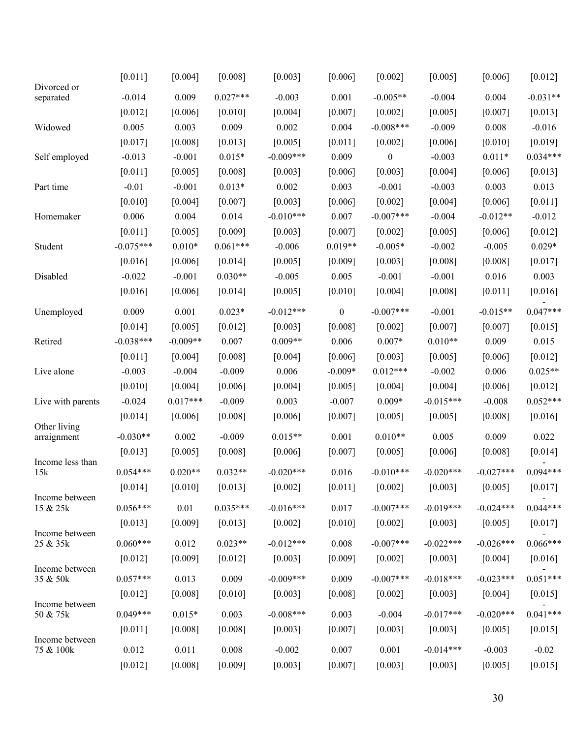| Divorced or<br>$0.027***$<br>$-0.031**$<br>$-0.014$<br>0.009<br>$-0.003$<br>0.001<br>$-0.005**$<br>$-0.004$<br>0.004<br>separated<br>[0.006]<br>[0.007]<br>[0.007]<br>[0.013]<br>$[0.012]$<br>[0.010]<br>[0.004]<br>[0.002]<br>[0.005]<br>$-0.008***$<br>0.005<br>0.003<br>0.009<br>0.002<br>0.004<br>$-0.009$<br>0.008<br>$-0.016$<br>Widowed<br>[0.017]<br>[0.008]<br>[0.013]<br>[0.005]<br>$[0.011]$<br>[0.006]<br>$[0.010]$<br>[0.019]<br>[0.002]<br>$0.034***$<br>$-0.013$<br>$-0.001$<br>$0.015*$<br>$-0.009***$<br>0.009<br>$\boldsymbol{0}$<br>$-0.003$<br>$0.011*$<br>Self employed<br>[0.011]<br>[0.005]<br>[0.008]<br>[0.003]<br>[0.006]<br>[0.003]<br>[0.004]<br>[0.006]<br>[0.013]<br>0.003<br>$-0.003$<br>0.013<br>$-0.01$<br>$-0.001$<br>$0.013*$<br>0.002<br>$-0.001$<br>0.003<br>Part time<br>[0.004]<br>[0.004]<br>[0.011]<br>[0.010]<br>[0.007]<br>[0.003]<br>[0.006]<br>[0.002]<br>[0.006]<br>$-0.010***$<br>$-0.012$<br>0.006<br>0.004<br>0.014<br>0.007<br>$-0.007***$<br>$-0.004$<br>$-0.012**$<br>Homemaker<br>$[0.011]$<br>[0.005]<br>[0.009]<br>[0.003]<br>[0.007]<br>[0.005]<br>$[0.012]$<br>$[0.002]$<br>[0.006]<br>$-0.075***$<br>$0.061***$<br>$0.019**$<br>$0.010*$<br>$-0.006$<br>$-0.005*$<br>$-0.002$<br>$-0.005$<br>$0.029*$<br>Student<br>[0.016]<br>[0.006]<br>[0.014]<br>[0.005]<br>[0.009]<br>[0.003]<br>[0.008]<br>[0.008]<br>[0.017]<br>$0.030**$<br>0.005<br>Disabled<br>$-0.022$<br>$-0.001$<br>$-0.005$<br>$-0.001$<br>$-0.001$<br>0.016<br>0.003<br>[0.010]<br>[0.016]<br>[0.006]<br>[0.014]<br>[0.005]<br>[0.004]<br>[0.008]<br>[0.011]<br>$[0.016]$<br>$0.047***$<br>$-0.007***$<br>0.009<br>0.001<br>$0.023*$<br>$-0.012***$<br>$\boldsymbol{0}$<br>$-0.001$<br>$-0.015**$<br>Unemployed<br>$[0.012]$<br>[0.015]<br>$[0.014]$<br>[0.005]<br>[0.003]<br>[0.008]<br>$[0.002]$<br>[0.007]<br>[0.007] |
|---------------------------------------------------------------------------------------------------------------------------------------------------------------------------------------------------------------------------------------------------------------------------------------------------------------------------------------------------------------------------------------------------------------------------------------------------------------------------------------------------------------------------------------------------------------------------------------------------------------------------------------------------------------------------------------------------------------------------------------------------------------------------------------------------------------------------------------------------------------------------------------------------------------------------------------------------------------------------------------------------------------------------------------------------------------------------------------------------------------------------------------------------------------------------------------------------------------------------------------------------------------------------------------------------------------------------------------------------------------------------------------------------------------------------------------------------------------------------------------------------------------------------------------------------------------------------------------------------------------------------------------------------------------------------------------------------------------------------------------------------------------------------------------------------------------------------------------------------|
|                                                                                                                                                                                                                                                                                                                                                                                                                                                                                                                                                                                                                                                                                                                                                                                                                                                                                                                                                                                                                                                                                                                                                                                                                                                                                                                                                                                                                                                                                                                                                                                                                                                                                                                                                                                                                                                   |
|                                                                                                                                                                                                                                                                                                                                                                                                                                                                                                                                                                                                                                                                                                                                                                                                                                                                                                                                                                                                                                                                                                                                                                                                                                                                                                                                                                                                                                                                                                                                                                                                                                                                                                                                                                                                                                                   |
|                                                                                                                                                                                                                                                                                                                                                                                                                                                                                                                                                                                                                                                                                                                                                                                                                                                                                                                                                                                                                                                                                                                                                                                                                                                                                                                                                                                                                                                                                                                                                                                                                                                                                                                                                                                                                                                   |
|                                                                                                                                                                                                                                                                                                                                                                                                                                                                                                                                                                                                                                                                                                                                                                                                                                                                                                                                                                                                                                                                                                                                                                                                                                                                                                                                                                                                                                                                                                                                                                                                                                                                                                                                                                                                                                                   |
|                                                                                                                                                                                                                                                                                                                                                                                                                                                                                                                                                                                                                                                                                                                                                                                                                                                                                                                                                                                                                                                                                                                                                                                                                                                                                                                                                                                                                                                                                                                                                                                                                                                                                                                                                                                                                                                   |
|                                                                                                                                                                                                                                                                                                                                                                                                                                                                                                                                                                                                                                                                                                                                                                                                                                                                                                                                                                                                                                                                                                                                                                                                                                                                                                                                                                                                                                                                                                                                                                                                                                                                                                                                                                                                                                                   |
|                                                                                                                                                                                                                                                                                                                                                                                                                                                                                                                                                                                                                                                                                                                                                                                                                                                                                                                                                                                                                                                                                                                                                                                                                                                                                                                                                                                                                                                                                                                                                                                                                                                                                                                                                                                                                                                   |
|                                                                                                                                                                                                                                                                                                                                                                                                                                                                                                                                                                                                                                                                                                                                                                                                                                                                                                                                                                                                                                                                                                                                                                                                                                                                                                                                                                                                                                                                                                                                                                                                                                                                                                                                                                                                                                                   |
|                                                                                                                                                                                                                                                                                                                                                                                                                                                                                                                                                                                                                                                                                                                                                                                                                                                                                                                                                                                                                                                                                                                                                                                                                                                                                                                                                                                                                                                                                                                                                                                                                                                                                                                                                                                                                                                   |
|                                                                                                                                                                                                                                                                                                                                                                                                                                                                                                                                                                                                                                                                                                                                                                                                                                                                                                                                                                                                                                                                                                                                                                                                                                                                                                                                                                                                                                                                                                                                                                                                                                                                                                                                                                                                                                                   |
|                                                                                                                                                                                                                                                                                                                                                                                                                                                                                                                                                                                                                                                                                                                                                                                                                                                                                                                                                                                                                                                                                                                                                                                                                                                                                                                                                                                                                                                                                                                                                                                                                                                                                                                                                                                                                                                   |
|                                                                                                                                                                                                                                                                                                                                                                                                                                                                                                                                                                                                                                                                                                                                                                                                                                                                                                                                                                                                                                                                                                                                                                                                                                                                                                                                                                                                                                                                                                                                                                                                                                                                                                                                                                                                                                                   |
|                                                                                                                                                                                                                                                                                                                                                                                                                                                                                                                                                                                                                                                                                                                                                                                                                                                                                                                                                                                                                                                                                                                                                                                                                                                                                                                                                                                                                                                                                                                                                                                                                                                                                                                                                                                                                                                   |
|                                                                                                                                                                                                                                                                                                                                                                                                                                                                                                                                                                                                                                                                                                                                                                                                                                                                                                                                                                                                                                                                                                                                                                                                                                                                                                                                                                                                                                                                                                                                                                                                                                                                                                                                                                                                                                                   |
|                                                                                                                                                                                                                                                                                                                                                                                                                                                                                                                                                                                                                                                                                                                                                                                                                                                                                                                                                                                                                                                                                                                                                                                                                                                                                                                                                                                                                                                                                                                                                                                                                                                                                                                                                                                                                                                   |
|                                                                                                                                                                                                                                                                                                                                                                                                                                                                                                                                                                                                                                                                                                                                                                                                                                                                                                                                                                                                                                                                                                                                                                                                                                                                                                                                                                                                                                                                                                                                                                                                                                                                                                                                                                                                                                                   |
| $-0.038***$<br>0.007<br>$0.009**$<br>0.006<br>$0.007*$<br>$0.010**$<br>0.009<br>0.015<br>Retired<br>$-0.009**$                                                                                                                                                                                                                                                                                                                                                                                                                                                                                                                                                                                                                                                                                                                                                                                                                                                                                                                                                                                                                                                                                                                                                                                                                                                                                                                                                                                                                                                                                                                                                                                                                                                                                                                                    |
| [0.004]<br>[0.008]<br>[0.004]<br>[0.006]<br>[0.003]<br>[0.005]<br>[0.006]<br>$[0.012]$<br>[0.011]                                                                                                                                                                                                                                                                                                                                                                                                                                                                                                                                                                                                                                                                                                                                                                                                                                                                                                                                                                                                                                                                                                                                                                                                                                                                                                                                                                                                                                                                                                                                                                                                                                                                                                                                                 |
| $0.025**$<br>$-0.003$<br>$-0.009$<br>0.006<br>$-0.009*$<br>$0.012***$<br>$-0.002$<br>$-0.004$<br>0.006<br>Live alone                                                                                                                                                                                                                                                                                                                                                                                                                                                                                                                                                                                                                                                                                                                                                                                                                                                                                                                                                                                                                                                                                                                                                                                                                                                                                                                                                                                                                                                                                                                                                                                                                                                                                                                              |
| [0.010]<br>[0.004]<br>[0.006]<br>[0.004]<br>[0.005]<br>[0.004]<br>$[0.004]$<br>[0.006]<br>$[0.012]$                                                                                                                                                                                                                                                                                                                                                                                                                                                                                                                                                                                                                                                                                                                                                                                                                                                                                                                                                                                                                                                                                                                                                                                                                                                                                                                                                                                                                                                                                                                                                                                                                                                                                                                                               |
| $0.017***$<br>$0.052***$<br>$-0.024$<br>$-0.009$<br>0.003<br>$-0.007$<br>$0.009*$<br>$-0.015***$<br>$-0.008$<br>Live with parents                                                                                                                                                                                                                                                                                                                                                                                                                                                                                                                                                                                                                                                                                                                                                                                                                                                                                                                                                                                                                                                                                                                                                                                                                                                                                                                                                                                                                                                                                                                                                                                                                                                                                                                 |
| [0.014]<br>[0.016]<br>[0.006]<br>[0.008]<br>[0.006]<br>$[0.007]$<br>[0.005]<br>[0.005]<br>[0.008]                                                                                                                                                                                                                                                                                                                                                                                                                                                                                                                                                                                                                                                                                                                                                                                                                                                                                                                                                                                                                                                                                                                                                                                                                                                                                                                                                                                                                                                                                                                                                                                                                                                                                                                                                 |
| Other living<br>$-0.030**$<br>0.002<br>$-0.009$<br>$0.015**$<br>0.001<br>$0.010**$<br>0.005<br>0.009<br>0.022<br>arraignment                                                                                                                                                                                                                                                                                                                                                                                                                                                                                                                                                                                                                                                                                                                                                                                                                                                                                                                                                                                                                                                                                                                                                                                                                                                                                                                                                                                                                                                                                                                                                                                                                                                                                                                      |
| $[0.014]$<br>[0.008]<br>[0.005]<br>[0.008]<br>[0.013]<br>[0.005]<br>[0.006]<br>$[0.007]$<br>[0.006]                                                                                                                                                                                                                                                                                                                                                                                                                                                                                                                                                                                                                                                                                                                                                                                                                                                                                                                                                                                                                                                                                                                                                                                                                                                                                                                                                                                                                                                                                                                                                                                                                                                                                                                                               |
| Income less than<br>$0.094***$                                                                                                                                                                                                                                                                                                                                                                                                                                                                                                                                                                                                                                                                                                                                                                                                                                                                                                                                                                                                                                                                                                                                                                                                                                                                                                                                                                                                                                                                                                                                                                                                                                                                                                                                                                                                                    |
| $0.054***$<br>$0.020**$<br>$0.032**$<br>$-0.020***$<br>0.016<br>$-0.010***$<br>$-0.020***$<br>$-0.027***$<br>15k                                                                                                                                                                                                                                                                                                                                                                                                                                                                                                                                                                                                                                                                                                                                                                                                                                                                                                                                                                                                                                                                                                                                                                                                                                                                                                                                                                                                                                                                                                                                                                                                                                                                                                                                  |
| [0.014]<br>[0.010]<br>[0.013]<br>[0.002]<br>[0.011]<br>[0.002]<br>[0.003]<br>[0.005]<br>[0.017]<br>Income between                                                                                                                                                                                                                                                                                                                                                                                                                                                                                                                                                                                                                                                                                                                                                                                                                                                                                                                                                                                                                                                                                                                                                                                                                                                                                                                                                                                                                                                                                                                                                                                                                                                                                                                                 |
| $0.044***$<br>$0.056***$<br>$0.035***$<br>$-0.007***$<br>$-0.019***$<br>$-0.024***$<br>15 & 25k<br>0.01<br>$-0.016***$<br>0.017                                                                                                                                                                                                                                                                                                                                                                                                                                                                                                                                                                                                                                                                                                                                                                                                                                                                                                                                                                                                                                                                                                                                                                                                                                                                                                                                                                                                                                                                                                                                                                                                                                                                                                                   |
| [0.017]<br>[0.009]<br>[0.013]<br>$[0.010]$<br>[0.002]<br>[0.005]<br>[0.013]<br>[0.002]<br>[0.003]                                                                                                                                                                                                                                                                                                                                                                                                                                                                                                                                                                                                                                                                                                                                                                                                                                                                                                                                                                                                                                                                                                                                                                                                                                                                                                                                                                                                                                                                                                                                                                                                                                                                                                                                                 |
| Income between<br>$0.060***$<br>$0.023**$<br>$0.066***$<br>25 & 35k<br>0.012<br>$-0.012***$<br>0.008<br>$-0.007***$<br>$-0.022***$<br>$-0.026***$                                                                                                                                                                                                                                                                                                                                                                                                                                                                                                                                                                                                                                                                                                                                                                                                                                                                                                                                                                                                                                                                                                                                                                                                                                                                                                                                                                                                                                                                                                                                                                                                                                                                                                 |
| [0.016]<br>$[0.012]$<br>[0.009]<br>$[0.012]$<br>[0.003]<br>[0.009]<br>$[0.002]$<br>$[0.003]$<br>[0.004]                                                                                                                                                                                                                                                                                                                                                                                                                                                                                                                                                                                                                                                                                                                                                                                                                                                                                                                                                                                                                                                                                                                                                                                                                                                                                                                                                                                                                                                                                                                                                                                                                                                                                                                                           |
| Income between<br>$0.051***$                                                                                                                                                                                                                                                                                                                                                                                                                                                                                                                                                                                                                                                                                                                                                                                                                                                                                                                                                                                                                                                                                                                                                                                                                                                                                                                                                                                                                                                                                                                                                                                                                                                                                                                                                                                                                      |
| $0.057***$<br>0.013<br>$-0.009***$<br>0.009<br>$-0.007***$<br>$-0.018***$<br>$-0.023***$<br>0.009<br>35 & 50k                                                                                                                                                                                                                                                                                                                                                                                                                                                                                                                                                                                                                                                                                                                                                                                                                                                                                                                                                                                                                                                                                                                                                                                                                                                                                                                                                                                                                                                                                                                                                                                                                                                                                                                                     |
| [0.015]<br>[0.008]<br>$[0.010]$<br>[0.003]<br>[0.008]<br>$[0.002]$<br>[0.003]<br>[0.004]<br>$[0.012]$<br>Income between                                                                                                                                                                                                                                                                                                                                                                                                                                                                                                                                                                                                                                                                                                                                                                                                                                                                                                                                                                                                                                                                                                                                                                                                                                                                                                                                                                                                                                                                                                                                                                                                                                                                                                                           |
| $0.015*$<br>$-0.017***$<br>$-0.020***$<br>$0.041***$<br>$0.049***$<br>0.003<br>$-0.008***$<br>0.003<br>$-0.004$<br>50 & 75k                                                                                                                                                                                                                                                                                                                                                                                                                                                                                                                                                                                                                                                                                                                                                                                                                                                                                                                                                                                                                                                                                                                                                                                                                                                                                                                                                                                                                                                                                                                                                                                                                                                                                                                       |
| [0.003]<br>[0.015]<br>[0.011]<br>[0.008]<br>[0.008]<br>[0.003]<br>$[0.007]$<br>[0.003]<br>[0.005]                                                                                                                                                                                                                                                                                                                                                                                                                                                                                                                                                                                                                                                                                                                                                                                                                                                                                                                                                                                                                                                                                                                                                                                                                                                                                                                                                                                                                                                                                                                                                                                                                                                                                                                                                 |
| Income between<br>75 & 100k<br>0.012<br>0.011<br>0.008<br>$-0.002$<br>0.007<br>0.001<br>$-0.014***$<br>$-0.003$<br>$-0.02$                                                                                                                                                                                                                                                                                                                                                                                                                                                                                                                                                                                                                                                                                                                                                                                                                                                                                                                                                                                                                                                                                                                                                                                                                                                                                                                                                                                                                                                                                                                                                                                                                                                                                                                        |
| [0.012]<br>[0.008]<br>[0.009]<br>[0.003]<br>[0.007]<br>[0.003]<br>[0.003]<br>[0.005]<br>[0.015]                                                                                                                                                                                                                                                                                                                                                                                                                                                                                                                                                                                                                                                                                                                                                                                                                                                                                                                                                                                                                                                                                                                                                                                                                                                                                                                                                                                                                                                                                                                                                                                                                                                                                                                                                   |